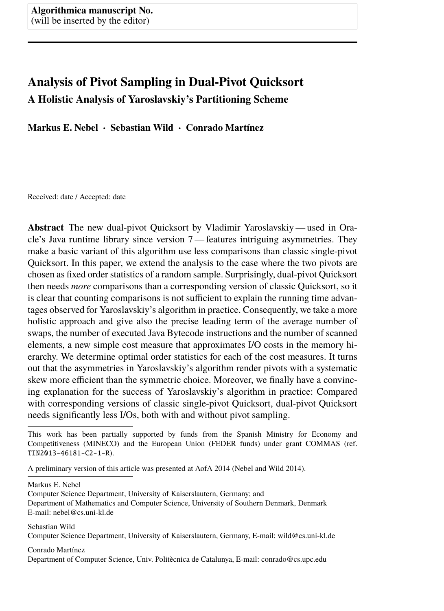# <span id="page-0-0"></span>**Analysis of Pivot Sampling in Dual-Pivot Quicksort A Holistic Analysis of Yaroslavskiy's Partitioning Scheme**

**Markus E. Nebel** · **Sebastian Wild** · **Conrado Martínez**

Received: date / Accepted: date

**Abstract** The new dual-pivot Quicksort by Vladimir Yaroslavskiy — used in Oracle's Java runtime library since version 7 — features intriguing asymmetries. They make a basic variant of this algorithm use less comparisons than classic single-pivot Quicksort. In this paper, we extend the analysis to the case where the two pivots are chosen as fixed order statistics of a random sample. Surprisingly, dual-pivot Quicksort then needs *more* comparisons than a corresponding version of classic Quicksort, so it is clear that counting comparisons is not sufficient to explain the running time advantages observed for Yaroslavskiy's algorithm in practice. Consequently, we take a more holistic approach and give also the precise leading term of the average number of swaps, the number of executed Java Bytecode instructions and the number of scanned elements, a new simple cost measure that approximates I/O costs in the memory hierarchy. We determine optimal order statistics for each of the cost measures. It turns out that the asymmetries in Yaroslavskiy's algorithm render pivots with a systematic skew more efficient than the symmetric choice. Moreover, we finally have a convincing explanation for the success of Yaroslavskiy's algorithm in practice: Compared with corresponding versions of classic single-pivot Quicksort, dual-pivot Quicksort needs significantly less I/Os, both with and without pivot sampling.

A preliminary version of this article was presented at AofA 2014 [\(Nebel and Wild 2014\)](#page-39-0).

Markus E. Nebel

Computer Science Department, University of Kaiserslautern, Germany; and Department of Mathematics and Computer Science, University of Southern Denmark, Denmark E-mail: nebel@cs.uni-kl.de

Sebastian Wild Computer Science Department, University of Kaiserslautern, Germany, E-mail: wild@cs.uni-kl.de

Conrado Martínez Department of Computer Science, Univ. Politècnica de Catalunya, E-mail: conrado@cs.upc.edu

This work has been partially supported by funds from the Spanish Ministry for Economy and Competitiveness (MINECO) and the European Union (FEDER funds) under grant COMMAS (ref. TIN2013-46181-C2-1-R).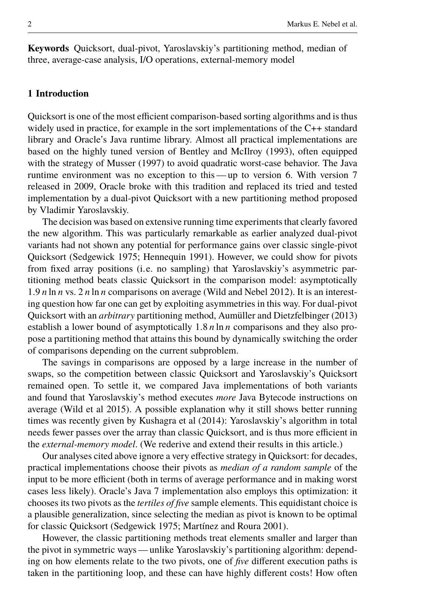**Keywords** Quicksort, dual-pivot, Yaroslavskiy's partitioning method, median of three, average-case analysis, I/O operations, external-memory model

# **1 Introduction**

Quicksort is one of the most efficient comparison-based sorting algorithms and is thus widely used in practice, for example in the sort implementations of the C++ standard library and Oracle's Java runtime library. Almost all practical implementations are based on the highly tuned version of [Bentley and McIlroy](#page-38-0) [\(1993\)](#page-38-0), often equipped with the strategy of [Musser](#page-39-1) [\(1997\)](#page-39-1) to avoid quadratic worst-case behavior. The Java runtime environment was no exception to this — up to version 6. With version 7 released in 2009, Oracle broke with this tradition and replaced its tried and tested implementation by a dual-pivot Quicksort with a new partitioning method proposed by Vladimir Yaroslavskiy.

The decision was based on extensive running time experiments that clearly favored the new algorithm. This was particularly remarkable as earlier analyzed dual-pivot variants had not shown any potential for performance gains over classic single-pivot Quicksort [\(Sedgewick 1975;](#page-39-2) [Hennequin 1991\)](#page-38-1). However, we could show for pivots from fixed array positions (i.e. no sampling) that Yaroslavskiy's asymmetric partitioning method beats classic Quicksort in the comparison model: asymptotically <sup>1</sup>.<sup>9</sup> *<sup>n</sup>* ln *<sup>n</sup>* vs. 2 *<sup>n</sup>* ln *<sup>n</sup>* comparisons on average [\(Wild and Nebel 2012\)](#page-39-3). It is an interesting question how far one can get by exploiting asymmetries in this way. For dual-pivot Quicksort with an *arbitrary* partitioning method, [Aumüller and Dietzfelbinger](#page-38-2) [\(2013\)](#page-38-2) establish a lower bound of asymptotically 1.<sup>8</sup> *<sup>n</sup>* ln *<sup>n</sup>* comparisons and they also propose a partitioning method that attains this bound by dynamically switching the order of comparisons depending on the current subproblem.

The savings in comparisons are opposed by a large increase in the number of swaps, so the competition between classic Quicksort and Yaroslavskiy's Quicksort remained open. To settle it, we compared Java implementations of both variants and found that Yaroslavskiy's method executes *more* Java Bytecode instructions on average [\(Wild et al 2015\)](#page-39-4). A possible explanation why it still shows better running times was recently given by [Kushagra et al](#page-38-3) [\(2014\)](#page-38-3): Yaroslavskiy's algorithm in total needs fewer passes over the array than classic Quicksort, and is thus more efficient in the *external-memory model*. (We rederive and extend their results in this article.)

Our analyses cited above ignore a very effective strategy in Quicksort: for decades, practical implementations choose their pivots as *median of a random sample* of the input to be more efficient (both in terms of average performance and in making worst cases less likely). Oracle's Java 7 implementation also employs this optimization: it chooses its two pivots as the *tertiles of five* sample elements. This equidistant choice is a plausible generalization, since selecting the median as pivot is known to be optimal for classic Quicksort [\(Sedgewick 1975;](#page-39-2) [Martínez and Roura 2001\)](#page-39-5).

However, the classic partitioning methods treat elements smaller and larger than the pivot in symmetric ways — unlike Yaroslavskiy's partitioning algorithm: depending on how elements relate to the two pivots, one of *five* different execution paths is taken in the partitioning loop, and these can have highly different costs! How often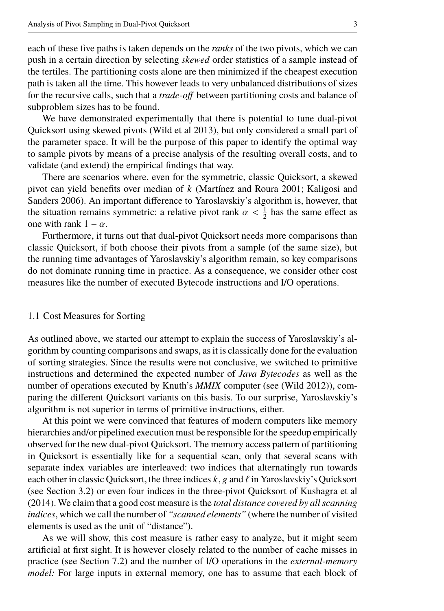each of these five paths is taken depends on the *ranks* of the two pivots, which we can push in a certain direction by selecting *skewed* order statistics of a sample instead of the tertiles. The partitioning costs alone are then minimized if the cheapest execution path is taken all the time. This however leads to very unbalanced distributions of sizes for the recursive calls, such that a *trade-off* between partitioning costs and balance of subproblem sizes has to be found.

We have demonstrated experimentally that there is potential to tune dual-pivot Quicksort using skewed pivots [\(Wild et al 2013\)](#page-39-6), but only considered a small part of the parameter space. It will be the purpose of this paper to identify the optimal way to sample pivots by means of a precise analysis of the resulting overall costs, and to validate (and extend) the empirical findings that way.

There are scenarios where, even for the symmetric, classic Quicksort, a skewed pivot can yield benefits over median of *k* [\(Martínez and Roura 2001;](#page-39-5) [Kaligosi and](#page-38-4) [Sanders 2006\)](#page-38-4). An important difference to Yaroslavskiy's algorithm is, however, that the situation remains symmetric: a relative pivot rank  $\alpha < \frac{1}{2}$  has the same effect as one with rank  $1 - \alpha$ .

Furthermore, it turns out that dual-pivot Quicksort needs more comparisons than classic Quicksort, if both choose their pivots from a sample (of the same size), but the running time advantages of Yaroslavskiy's algorithm remain, so key comparisons do not dominate running time in practice. As a consequence, we consider other cost measures like the number of executed Bytecode instructions and I/O operations.

#### <span id="page-2-0"></span>1.1 Cost Measures for Sorting

As outlined above, we started our attempt to explain the success of Yaroslavskiy's algorithm by counting comparisons and swaps, as it is classically done for the evaluation of sorting strategies. Since the results were not conclusive, we switched to primitive instructions and determined the expected number of *Java Bytecodes* as well as the number of operations executed by Knuth's *MMIX* computer (see [\(Wild 2012\)](#page-39-7)), comparing the different Quicksort variants on this basis. To our surprise, Yaroslavskiy's algorithm is not superior in terms of primitive instructions, either.

At this point we were convinced that features of modern computers like memory hierarchies and/or pipelined execution must be responsible for the speedup empirically observed for the new dual-pivot Quicksort. The memory access pattern of partitioning in Quicksort is essentially like for a sequential scan, only that several scans with separate index variables are interleaved: two indices that alternatingly run towards each other in classic Quicksort, the three indices  $k$ , g and  $\ell$  in Yaroslavskiy's Quicksort (see [Section 3.2\)](#page-5-0) or even four indices in the three-pivot Quicksort of [Kushagra et al](#page-38-3) [\(2014\)](#page-38-3). We claim that a good cost measure is the *total distance covered by all scanning indices*, which we call the number of *"scanned elements"* (where the number of visited elements is used as the unit of "distance").

As we will show, this cost measure is rather easy to analyze, but it might seem artificial at first sight. It is however closely related to the number of cache misses in practice (see [Section 7.2\)](#page-25-0) and the number of I/O operations in the *external-memory model:* For large inputs in external memory, one has to assume that each block of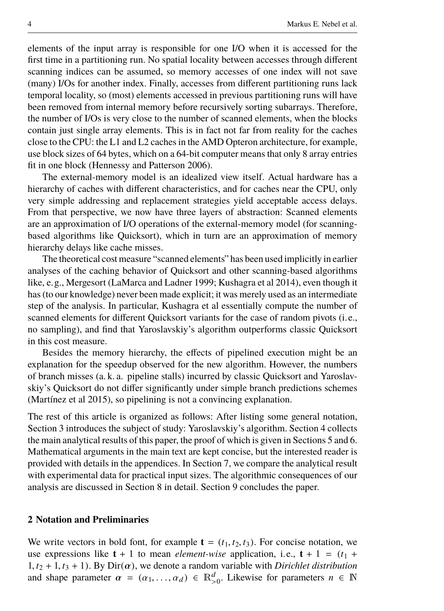elements of the input array is responsible for one I/O when it is accessed for the first time in a partitioning run. No spatial locality between accesses through different scanning indices can be assumed, so memory accesses of one index will not save (many) I/Os for another index. Finally, accesses from different partitioning runs lack temporal locality, so (most) elements accessed in previous partitioning runs will have been removed from internal memory before recursively sorting subarrays. Therefore, the number of I/Os is very close to the number of scanned elements, when the blocks contain just single array elements. This is in fact not far from reality for the caches close to the CPU: the L1 and L2 caches in the AMD Opteron architecture, for example, use block sizes of 64 bytes, which on a 64-bit computer means that only 8 array entries fit in one block [\(Hennessy and Patterson 2006\)](#page-38-5).

The external-memory model is an idealized view itself. Actual hardware has a hierarchy of caches with different characteristics, and for caches near the CPU, only very simple addressing and replacement strategies yield acceptable access delays. From that perspective, we now have three layers of abstraction: Scanned elements are an approximation of I/O operations of the external-memory model (for scanningbased algorithms like Quicksort), which in turn are an approximation of memory hierarchy delays like cache misses.

The theoretical cost measure "scanned elements" has been used implicitly in earlier analyses of the caching behavior of Quicksort and other scanning-based algorithms like, e.g., Mergesort [\(LaMarca and Ladner 1999;](#page-39-8) [Kushagra et al 2014\)](#page-38-3), even though it has (to our knowledge) never been made explicit; it was merely used as an intermediate step of the analysis. In particular, [Kushagra et al](#page-38-3) essentially compute the number of scanned elements for different Quicksort variants for the case of random pivots (i.e., no sampling), and find that Yaroslavskiy's algorithm outperforms classic Quicksort in this cost measure.

Besides the memory hierarchy, the effects of pipelined execution might be an explanation for the speedup observed for the new algorithm. However, the numbers of branch misses (a. k. a. pipeline stalls) incurred by classic Quicksort and Yaroslavskiy's Quicksort do not differ significantly under simple branch predictions schemes [\(Martínez et al 2015\)](#page-39-9), so pipelining is not a convincing explanation.

The rest of this article is organized as follows: After listing some general notation, [Section 3](#page-4-0) introduces the subject of study: Yaroslavskiy's algorithm. [Section 4](#page-12-0) collects the main analytical results of this paper, the proof of which is given in [Sections 5](#page-13-0) and [6.](#page-19-0) Mathematical arguments in the main text are kept concise, but the interested reader is provided with details in the appendices. In [Section 7,](#page-22-0) we compare the analytical result with experimental data for practical input sizes. The algorithmic consequences of our analysis are discussed in [Section 8](#page-28-0) in detail. [Section 9](#page-37-0) concludes the paper.

## **2 Notation and Preliminaries**

We write vectors in bold font, for example  $\mathbf{t} = (t_1, t_2, t_3)$ . For concise notation, we use expressions like  $t + 1$  to mean *element-wise* application, i.e.,  $t + 1 = (t_1 + t_2)$  $1, t_2 + 1, t_3 + 1$ . By Dir( $\alpha$ ), we denote a random variable with *Dirichlet distribution* and shape parameter  $\alpha = (\alpha_1, ..., \alpha_d) \in \mathbb{R}^d_{>0}$ . Likewise for parameters  $n \in \mathbb{N}$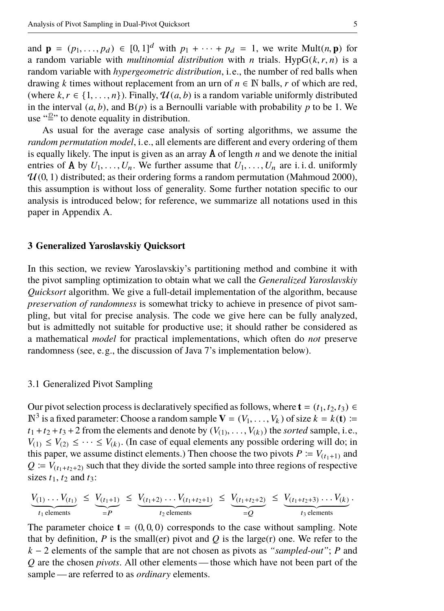and  $\mathbf{p} = (p_1, \ldots, p_d) \in [0, 1]^d$  with  $p_1 + \cdots + p_d = 1$ , we write Mult $(n, \mathbf{p})$  for a random variable with *multinomial distribution* with *n* trials. Hyp $G(k, r, n)$  is a random variable with *hypergeometric distribution*, i.e., the number of red balls when drawing *k* times without replacement from an urn of  $n \in \mathbb{N}$  balls, *r* of which are red, (where  $k, r \in \{1, \ldots, n\}$ ). Finally,  $\mathcal{U}(a, b)$  is a random variable uniformly distributed in the interval  $(a, b)$ , and  $B(p)$  is a Bernoulli variable with probability p to be 1. We use " $\stackrel{.}{=}$ " to denote equality in distribution.

As usual for the average case analysis of sorting algorithms, we assume the *random permutation model*, i.e., all elements are different and every ordering of them is equally likely. The input is given as an array A of length *n* and we denote the initial entries of **A** by  $U_1, \ldots, U_n$ . We further assume that  $U_1, \ldots, U_n$  are i. i. d. uniformly  $U(0, 1)$  distributed; as their ordering forms a random permutation [\(Mahmoud 2000\)](#page-39-10), this assumption is without loss of generality. Some further notation specific to our analysis is introduced below; for reference, we summarize all notations used in this paper in [Appendix A.](#page-40-0)

#### <span id="page-4-0"></span>**3 Generalized Yaroslavskiy Quicksort**

In this section, we review Yaroslavskiy's partitioning method and combine it with the pivot sampling optimization to obtain what we call the *Generalized Yaroslavskiy Quicksort* algorithm. We give a full-detail implementation of the algorithm, because *preservation of randomness* is somewhat tricky to achieve in presence of pivot sampling, but vital for precise analysis. The code we give here can be fully analyzed, but is admittedly not suitable for productive use; it should rather be considered as a mathematical *model* for practical implementations, which often do *not* preserve randomness (see, e.g., the discussion of Java 7's implementation below).

#### <span id="page-4-1"></span>3.1 Generalized Pivot Sampling

Our pivot selection process is declaratively specified as follows, where  $\mathbf{t} = (t_1, t_2, t_3) \in$  $\mathbb{N}^3$  is a fixed parameter: Choose a random sample  $\mathbf{V} = (V_1, \dots, V_k)$  of size  $k = k(\mathbf{t}) :=$ <br> $t_1 + t_2 + t_3 + 2$  from the elements and denote by  $(V_{11}, \dots, V_{k})$  the sorted sample i.e.  $t_1 + t_2 + t_3 + 2$  from the elements and denote by  $(V_{(1)}, \ldots, V_{(k)})$  the *sorted* sample, i.e.,  $V_{(1)} \leq V_{(2)} \leq \ldots \leq V_{(k)}$ . (In case of equal elements any possible ordering will do in  $V_{(1)} \leq V_{(2)} \leq \cdots \leq V_{(k)}$ . (In case of equal elements any possible ordering will do; in this paper, we assume distinct elements.) Then choose the two pivots  $P := V_{(t_1+1)}$  and  $Q = V_{(t_1+t_2+2)}$  such that they divide the sorted sample into three regions of respective sizes  $t_1$ ,  $t_2$  and  $t_3$ :

$$
\underbrace{V_{(1)}\ldots V_{(t_1)}}_{t_1 \text{ elements}} \leq \underbrace{V_{(t_1+1)}}_{=P} \leq \underbrace{V_{(t_1+2)}\ldots V_{(t_1+t_2+1)}}_{t_2 \text{ elements}} \leq \underbrace{V_{(t_1+t_2+2)}}_{=Q} \leq \underbrace{V_{(t_1+t_2+3)}\ldots V_{(k)}}_{t_3 \text{ elements}}.
$$

The parameter choice  $\mathbf{t} = (0, 0, 0)$  corresponds to the case without sampling. Note that by definition,  $P$  is the small(er) pivot and  $Q$  is the large(r) one. We refer to the *k* − 2 elements of the sample that are not chosen as pivots as *"sampled-out"*; *P* and *Q* are the chosen *pivots*. All other elements — those which have not been part of the sample — are referred to as *ordinary* elements.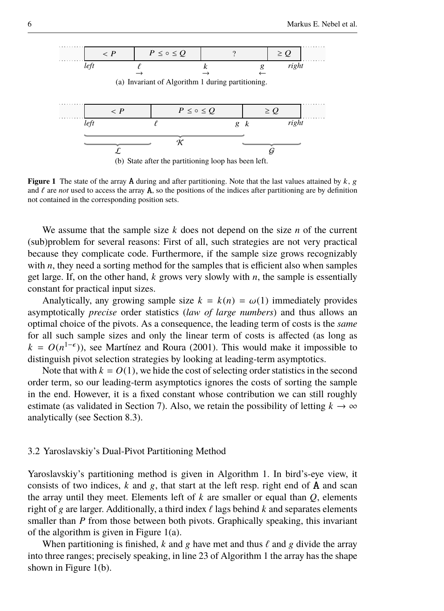<span id="page-5-2"></span><span id="page-5-1"></span>

**Figure 1** The state of the array **A** during and after partitioning. Note that the last values attained by  $k$ , g and  $\ell$  are *not* used to access the array A, so the positions of the indices after partitioning are by definition not contained in the corresponding position sets.

We assume that the sample size *k* does not depend on the size *n* of the current (sub)problem for several reasons: First of all, such strategies are not very practical because they complicate code. Furthermore, if the sample size grows recognizably with  $n$ , they need a sorting method for the samples that is efficient also when samples get large. If, on the other hand, *k* grows very slowly with *n*, the sample is essentially constant for practical input sizes.

Analytically, any growing sample size  $k = k(n) = \omega(1)$  immediately provides asymptotically *precise* order statistics (*law of large numbers*) and thus allows an optimal choice of the pivots. As a consequence, the leading term of costs is the *same* for all such sample sizes and only the linear term of costs is affected (as long as  $k = O(n^{1-\epsilon})$ , see [Martínez and Roura](#page-39-5) [\(2001\)](#page-39-5). This would make it impossible to distinguish pivot selection strategies by looking at leading-term asymptotics.

Note that with  $k = O(1)$ , we hide the cost of selecting order statistics in the second order term, so our leading-term asymptotics ignores the costs of sorting the sample in the end. However, it is a fixed constant whose contribution we can still roughly estimate (as validated in [Section 7\)](#page-22-0). Also, we retain the possibility of letting  $k \to \infty$ analytically (see [Section 8.3\)](#page-31-0).

#### <span id="page-5-0"></span>3.2 Yaroslavskiy's Dual-Pivot Partitioning Method

Yaroslavskiy's partitioning method is given in [Algorithm 1.](#page-6-0) In bird's-eye view, it consists of two indices,  $k$  and  $g$ , that start at the left resp. right end of  $A$  and scan the array until they meet. Elements left of *k* are smaller or equal than *Q*, elements right of g are larger. Additionally, a third index  $\ell$  lags behind  $k$  and separates elements smaller than *P* from those between both pivots. Graphically speaking, this invariant of the algorithm is given in [Figure 1\(a\).](#page-5-1)

When partitioning is finished, k and g have met and thus  $\ell$  and g divide the array into three ranges; precisely speaking, in line 23 of [Algorithm 1](#page-6-0) the array has the shape shown in [Figure 1\(b\).](#page-5-2)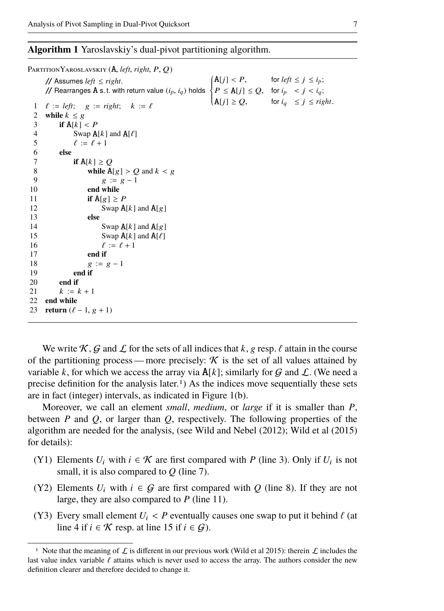<span id="page-6-0"></span>

|              | PARTITION YAROSLAVSKIY (A, left, right, P, Q)                                                                                                                                                                                                                                               |
|--------------|---------------------------------------------------------------------------------------------------------------------------------------------------------------------------------------------------------------------------------------------------------------------------------------------|
|              | // Assumes <i>left</i> $\le$ <i>right.</i><br>// Rearranges <b>A</b> s. t. with return value $(i_p, i_q)$ holds $\begin{cases} A[j] < P, & \text{for left } \le j \le i_p; \\ P \le A[j] \le Q, & \text{for } i_p < j < i_q; \\ A[j] \ge Q, & \text{for } i_q \le j \le right. \end{cases}$ |
|              |                                                                                                                                                                                                                                                                                             |
|              |                                                                                                                                                                                                                                                                                             |
| $\mathbf{1}$ | $\ell := left; \quad g := right; \quad k := \ell$                                                                                                                                                                                                                                           |
| 2<br>3       | while $k \leq g$                                                                                                                                                                                                                                                                            |
| 4            | if $A[k] < P$                                                                                                                                                                                                                                                                               |
|              | Swap $A[k]$ and $A[\ell]$                                                                                                                                                                                                                                                                   |
| 5            | $\ell := \ell + 1$                                                                                                                                                                                                                                                                          |
| 6            | else                                                                                                                                                                                                                                                                                        |
| 7            | if $A[k] \geq Q$                                                                                                                                                                                                                                                                            |
| 8            | while $A[g] > Q$ and $k < g$                                                                                                                                                                                                                                                                |
| 9            | $g := g - 1$                                                                                                                                                                                                                                                                                |
| 10           | end while                                                                                                                                                                                                                                                                                   |
| 11           | if $A[g] \geq P$                                                                                                                                                                                                                                                                            |
| 12           | Swap $A[k]$ and $A[g]$                                                                                                                                                                                                                                                                      |
| 13           | else                                                                                                                                                                                                                                                                                        |
| 14           | Swap $A[k]$ and $A[g]$                                                                                                                                                                                                                                                                      |
| 15           | Swap $A[k]$ and $A[\ell]$                                                                                                                                                                                                                                                                   |
| 16           | $\ell := \ell + 1$                                                                                                                                                                                                                                                                          |
| 17           | end if                                                                                                                                                                                                                                                                                      |
| 18           | $g := g - 1$                                                                                                                                                                                                                                                                                |
| 19           | end if                                                                                                                                                                                                                                                                                      |
| 20           | end if                                                                                                                                                                                                                                                                                      |
| 21           | $k := k + 1$                                                                                                                                                                                                                                                                                |
| 22           | end while                                                                                                                                                                                                                                                                                   |
| 23           | return $(\ell - 1, g + 1)$                                                                                                                                                                                                                                                                  |

We write K, G and L for the sets of all indices that  $k$ , g resp.  $\ell$  attain in the course of the partitioning process — more precisely:  $\mathcal K$  is the set of all values attained by variable *k*, for which we access the array via  $A[k]$ ; similarly for G and L. (We need a precise definition for the analysis later.<sup>[1](#page-6-1)</sup>) As the indices move sequentially these sets are in fact (integer) intervals, as indicated in [Figure 1\(b\).](#page-5-2)

Moreover, we call an element *small*, *medium*, or *large* if it is smaller than *P*, between  $P$  and  $Q$ , or larger than  $Q$ , respectively. The following properties of the algorithm are needed for the analysis, (see [Wild and Nebel](#page-39-3) [\(2012\)](#page-39-3); [Wild et al](#page-39-4) [\(2015\)](#page-39-4) for details):

- <span id="page-6-2"></span>(Y1) Elements  $U_i$  with  $i \in \mathcal{K}$  are first compared with *P* (line 3). Only if  $U_i$  is not small, it is also compared to *Q* (line 7).
- (Y2) Elements  $U_i$  with  $i \in G$  are first compared with Q (line 8). If they are not large, they are also compared to *P* (line 11).
- <span id="page-6-3"></span>(Y3) Every small element  $U_i$  < P eventually causes one swap to put it behind  $\ell$  (at line 4 if  $i \in \mathcal{K}$  resp. at line 15 if  $i \in \mathcal{G}$ ).

<span id="page-6-4"></span><span id="page-6-1"></span><sup>&</sup>lt;sup>1</sup> Note that the meaning of  $\mathcal L$  is different in our previous work [\(Wild et al 2015\)](#page-39-4): therein  $\mathcal L$  includes the last value index variable  $\ell$  attains which is never used to access the array. The authors consider the new definition clearer and therefore decided to change it.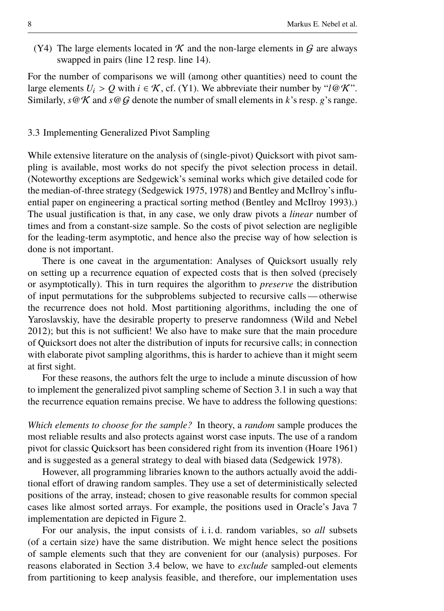(Y4) The large elements located in  $K$  and the non-large elements in  $G$  are always swapped in pairs (line 12 resp. line 14).

For the number of comparisons we will (among other quantities) need to count the large elements  $U_i > Q$  with  $i \in \mathcal{K}$ , cf. [\(Y1\).](#page-6-2) We abbreviate their number by " $l \mathcal{Q} \mathcal{K}$ ". Similarly,  $s \circ \mathcal{K}$  and  $s \circ \mathcal{G}$  denote the number of small elements in *k*'s resp. *g*'s range.

## <span id="page-7-0"></span>3.3 Implementing Generalized Pivot Sampling

While extensive literature on the analysis of (single-pivot) Quicksort with pivot sampling is available, most works do not specify the pivot selection process in detail. (Noteworthy exceptions are [Sedgewick'](#page-39-11)s seminal works which give detailed code for the median-of-three strategy [\(Sedgewick 1975,](#page-39-2) [1978\)](#page-39-12) and [Bentley and McIlroy'](#page-38-0)s influential paper on engineering a practical sorting method [\(Bentley and McIlroy 1993\)](#page-38-0).) The usual justification is that, in any case, we only draw pivots a *linear* number of times and from a constant-size sample. So the costs of pivot selection are negligible for the leading-term asymptotic, and hence also the precise way of how selection is done is not important.

There is one caveat in the argumentation: Analyses of Quicksort usually rely on setting up a recurrence equation of expected costs that is then solved (precisely or asymptotically). This in turn requires the algorithm to *preserve* the distribution of input permutations for the subproblems subjected to recursive calls— otherwise the recurrence does not hold. Most partitioning algorithms, including the one of Yaroslavskiy, have the desirable property to preserve randomness [\(Wild and Nebel](#page-39-3) [2012\)](#page-39-3); but this is not sufficient! We also have to make sure that the main procedure of Quicksort does not alter the distribution of inputs for recursive calls; in connection with elaborate pivot sampling algorithms, this is harder to achieve than it might seem at first sight.

For these reasons, the authors felt the urge to include a minute discussion of how to implement the generalized pivot sampling scheme of [Section 3.1](#page-4-1) in such a way that the recurrence equation remains precise. We have to address the following questions:

*Which elements to choose for the sample?* In theory, a *random* sample produces the most reliable results and also protects against worst case inputs. The use of a random pivot for classic Quicksort has been considered right from its invention [\(Hoare 1961\)](#page-38-6) and is suggested as a general strategy to deal with biased data [\(Sedgewick 1978\)](#page-39-12).

However, all programming libraries known to the authors actually avoid the additional effort of drawing random samples. They use a set of deterministically selected positions of the array, instead; chosen to give reasonable results for common special cases like almost sorted arrays. For example, the positions used in Oracle's Java 7 implementation are depicted in [Figure 2.](#page-8-0)

For our analysis, the input consists of i. i. d. random variables, so *all* subsets (of a certain size) have the same distribution. We might hence select the positions of sample elements such that they are convenient for our (analysis) purposes. For reasons elaborated in [Section 3.4](#page-9-0) below, we have to *exclude* sampled-out elements from partitioning to keep analysis feasible, and therefore, our implementation uses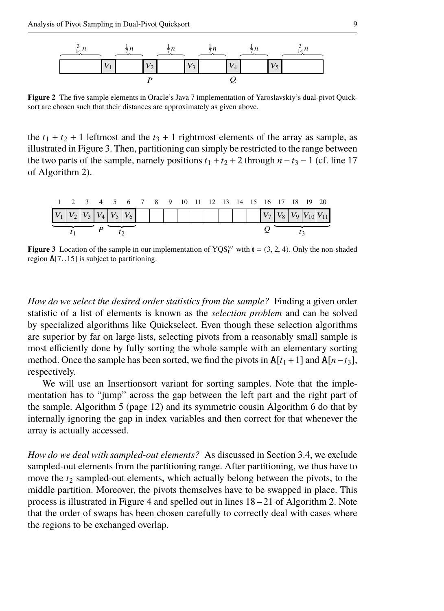

<span id="page-8-0"></span>**Figure 2** The five sample elements in Oracle's Java 7 implementation of Yaroslavskiy's dual-pivot Quicksort are chosen such that their distances are approximately as given above.

the  $t_1 + t_2 + 1$  leftmost and the  $t_3 + 1$  rightmost elements of the array as sample, as illustrated in [Figure 3.](#page-8-1) Then, partitioning can simply be restricted to the range between the two parts of the sample, namely positions  $t_1 + t_2 + 2$  through  $n - t_3 - 1$  (cf. line 17 of [Algorithm 2\)](#page-10-0).

| 1 2 3 4 5 6 7 8 9 10 11 12 13 14 15 16 17 18 19 20          |  |  |  |  |  |  |  |  |  |  |
|-------------------------------------------------------------|--|--|--|--|--|--|--|--|--|--|
| $V_1 V_2 V_3 V_4 V_5 V_6$ $V_6$ $V_7 V_8 V_9 V_{10} V_{11}$ |  |  |  |  |  |  |  |  |  |  |
|                                                             |  |  |  |  |  |  |  |  |  |  |

<span id="page-8-1"></span>**Figure 3** Location of the sample in our implementation of  $YQS_t^w$  with  $t = (3, 2, 4)$ . Only the non-shaded region A[7..15] is subject to partitioning.

*How do we select the desired order statistics from the sample?* Finding a given order statistic of a list of elements is known as the *selection problem* and can be solved by specialized algorithms like Quickselect. Even though these selection algorithms are superior by far on large lists, selecting pivots from a reasonably small sample is most efficiently done by fully sorting the whole sample with an elementary sorting method. Once the sample has been sorted, we find the pivots in  $A[t_1 + 1]$  and  $A[n - t_3]$ , respectively.

We will use an Insertionsort variant for sorting samples. Note that the implementation has to "jump" across the gap between the left part and the right part of the sample. [Algorithm 5 \(page 12\)](#page-11-0) and its symmetric cousin [Algorithm 6](#page-11-1) do that by internally ignoring the gap in index variables and then correct for that whenever the array is actually accessed.

*How do we deal with sampled-out elements?* As discussed in [Section 3.4,](#page-9-0) we exclude sampled-out elements from the partitioning range. After partitioning, we thus have to move the  $t_2$  sampled-out elements, which actually belong between the pivots, to the middle partition. Moreover, the pivots themselves have to be swapped in place. This process is illustrated in [Figure 4](#page-9-1) and spelled out in lines 18 – 21 of [Algorithm 2.](#page-10-0) Note that the order of swaps has been chosen carefully to correctly deal with cases where the regions to be exchanged overlap.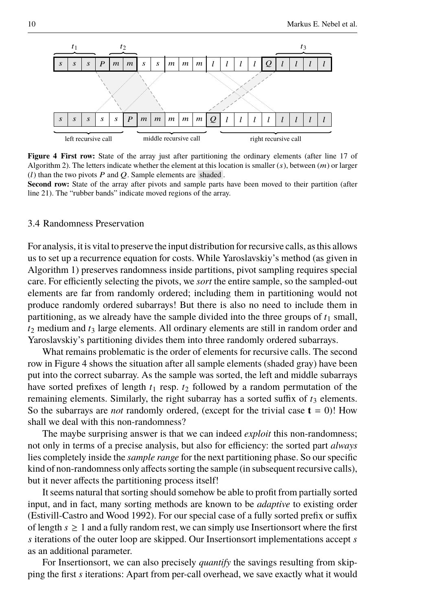

<span id="page-9-1"></span>**Figure 4 First row:** State of the array just after partitioning the ordinary elements (after line 17 of [Algorithm 2\)](#page-10-0). The letters indicate whether the element at this location is smaller  $(s)$ , between  $(m)$  or larger ( $l$ ) than the two pivots  $P$  and  $Q$ . Sample elements are shaded.

**Second row:** State of the array after pivots and sample parts have been moved to their partition (after line 21). The "rubber bands" indicate moved regions of the array.

#### <span id="page-9-0"></span>3.4 Randomness Preservation

For analysis, it is vital to preserve the input distribution for recursive calls, as this allows us to set up a recurrence equation for costs. While Yaroslavskiy's method (as given in [Algorithm 1\)](#page-6-0) preserves randomness inside partitions, pivot sampling requires special care. For efficiently selecting the pivots, we *sort* the entire sample, so the sampled-out elements are far from randomly ordered; including them in partitioning would not produce randomly ordered subarrays! But there is also no need to include them in partitioning, as we already have the sample divided into the three groups of  $t_1$  small,  $t_2$  medium and  $t_3$  large elements. All ordinary elements are still in random order and Yaroslavskiy's partitioning divides them into three randomly ordered subarrays.

What remains problematic is the order of elements for recursive calls. The second row in [Figure 4](#page-9-1) shows the situation after all sample elements (shaded gray) have been put into the correct subarray. As the sample was sorted, the left and middle subarrays have sorted prefixes of length  $t_1$  resp.  $t_2$  followed by a random permutation of the remaining elements. Similarly, the right subarray has a sorted suffix of  $t_3$  elements. So the subarrays are *not* randomly ordered, (except for the trivial case  $t = 0$ )! How shall we deal with this non-randomness?

The maybe surprising answer is that we can indeed *exploit* this non-randomness; not only in terms of a precise analysis, but also for efficiency: the sorted part *always* lies completely inside the *sample range* for the next partitioning phase. So our specific kind of non-randomness only affects sorting the sample (in subsequent recursive calls), but it never affects the partitioning process itself!

It seems natural that sorting should somehow be able to profit from partially sorted input, and in fact, many sorting methods are known to be *adaptive* to existing order [\(Estivill-Castro and Wood 1992\)](#page-38-7). For our special case of a fully sorted prefix or suffix of length  $s \geq 1$  and a fully random rest, we can simply use Insertions ort where the first *s* iterations of the outer loop are skipped. Our Insertionsort implementations accept *s* as an additional parameter.

For Insertionsort, we can also precisely *quantify* the savings resulting from skipping the first *s* iterations: Apart from per-call overhead, we save exactly what it would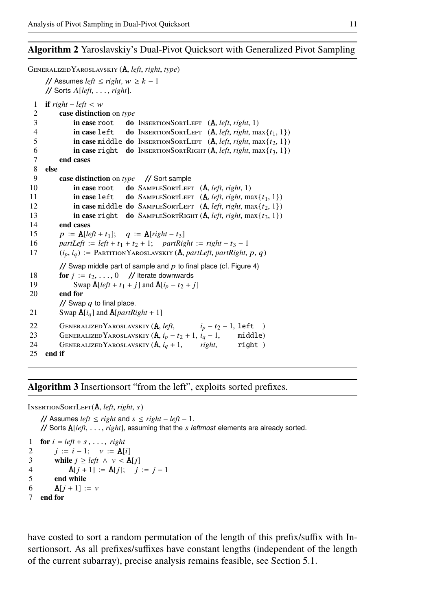# <span id="page-10-0"></span>**Algorithm 2** Yaroslavskiy's Dual-Pivot Quicksort with Generalized Pivot Sampling

```
GeneralizedYaroslavskiy (A, left, right, type)
      // Assumes left ≤ right, w ≥ k − 1
      // Sorts A[left, . . . , right].
  1 if right - left < w2 case distinction on type
 3 in case root do InsertionSortLeft (A, left, right, 1)
 4 in case left do INSERTIONSORTLEFT (A, left, right, max\{t_1, 1\})<br>5 in case middle do INSERTIONSORTLEFT (A, left, right, max\{t_2, 1\})5 in case middle do INSERTIONSORTLEFT (A, left, right, max\{t_2, 1\})<br>6 in case right do INSERTIONSORTRIGHT (A, left, right, max\{t_2, 1\})6 in case right do INSERTIONSORTRIGHT (A, left, right, max{t<sub>3</sub>, 1}) r and cases
           7 end cases
 8 else
           9 case distinction on type // Sort sample
10 in case root do SAMPLESORTLEFT (A, left, right, 1)
11 in case left do SAMPLESORTLEFT (A, left, right, max\{t_1, 1\})<br>12 in case middle do SAMPLESORTLEFT (A, left, right, max\{t_2, 1\})12 in case middle do SAMPLESORTLEFT (A, left, right, max{t<sub>2</sub>, 1})<br>13 in case right do SAMPLESORTRIGHT (A, left, right, max{t<sub>3</sub>, 1})
13 in case right do SAMPLESORTRIGHT (A, left, right, max{t<sub>3</sub>, 1})<br>14 end cases
           end cases
15 p := A[\text{left} + t_1]; \quad q := A[\text{right} - t_3]16 partLeft := left + t_1 + t_2 + 1; partRight := right - t_3 - 117 (i_p, i_q) := \text{PARTITION} \text{YAROSLAVSKIY} (\mathbf{A}, partLeft, partRight, p, q)// Swap middle part of sample and p Figure 4)
18 for j := t_2, \ldots, 0 // iterate downwards
19 Swap A[\text{left} + t_1 + j] and A[i_p - t_2 + j]20 end for
           // Swap q to final place.
21 Swap A[i_q] and A[partRight + 1]22 GENERALIZEDYAROSLAVSKIY (A, left, \quad i_p - t_2 - 1, \text{ left})<br>23 GENERALIZEDYAROSLAVSKIY (A, i_p - t_2 + 1, i_q - 1, \text{ middle})GENERALIZEDYAROSLAVSKIY (A, i_p - t_2 + 1, i_q - 1, \ldots, middle)24 GENERALIZEDYAROSLAVSKIY (A, i_q + 1, \text{ right}, \text{ right})<br>25 end if
      end if
```
#### **Algorithm 3** Insertionsort "from the left", exploits sorted prefixes.

InsertionSortLeft(A, *left*, *right*, s)

```
// Assumes left ≤ right and s ≤ right − left − 1.
// Sorts A[left, . . . , right], assuming that the s leftmost elements are already sorted.
```

```
1 for i = left + s, \ldots, right2 j := i - 1; \quad v := A[i]3 while j \geq left \land v < A[j]4 A[j + 1] := A[j]; \quad j := j - 15 end while
6 A[i + 1] := v7 end for
```
have costed to sort a random permutation of the length of this prefix/suffix with Insertionsort. As all prefixes/suffixes have constant lengths (independent of the length of the current subarray), precise analysis remains feasible, see [Section 5.1.](#page-13-1)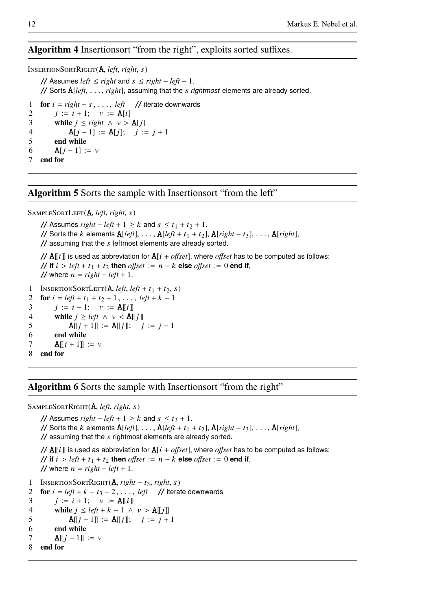# **Algorithm 4** Insertionsort "from the right", exploits sorted suffixes.

InsertionSortRight(A, *left*, *right*, s) // Assumes *left* ≤ *right* and s ≤ *right* − *left* − 1. // Sorts A[*left*, . . . , *right*], assuming that the s *rightmost* elements are already sorted. 1 **for** i = *right* − s , . . . , *left* // iterate downwards 2  $j := i + 1; \quad v := \mathbf{A}[i]$ <br>3 while  $i \leq right \land v >$ **while**  $j$  ≤ *right* ∧  $v > A[j]$ 4  $A[j - 1] := A[j]; \quad j := j + 1$ <br>5 end while 5 **end while** 6  $A[j - 1] := v$ 7 **end for**

<span id="page-11-0"></span>**Algorithm 5** Sorts the sample with Insertionsort "from the left"

```
SAMPLESORTLEFT(A, left, right, s)
```
// Assumes  $right - left + 1 \ge k$  and  $s \le t_1 + t_2 + 1$ . // Sorts the k elements  $A[left]$ , ...,  $A[left + t_1 + t_2]$ ,  $A[right - t_3]$ , ...,  $A[right]$ ,  $\frac{1}{2}$  assuming that the s leftmost elements are already sorted. //  $\Delta$ [[i]] is used as abbreviation for  $\Delta[i + \text{offset}]$ , where *offset* has to be computed as follows: // **if**  $i > left + t_1 + t_2$  **then** *offset* :=  $n - k$  **else** *offset* := 0 **end if**, // where  $n = right - left + 1$ . 1 INSERTIONSORTLEFT(**A**, *left*, *left* + t<sub>1</sub> + t<sub>2</sub>, *s*)<br>2 **for**  $i = \text{left} + t_1 + t_2 + 1$ , ..., *left* + k - 1 **for**  $i = left + t_1 + t_2 + 1, \ldots, left + k - 1$ 3  $j := i - 1; \quad v := \mathbf{A} || i ||$ 4 **while**  $j \geq left \land v < A[[j]]$ 5  $A[[j + 1]] := A[[j]]; j := j - 1$ 6 **end while** 7 **A** $[i + 1]$  := *v* 8 **end for**

#### <span id="page-11-1"></span>**Algorithm 6** Sorts the sample with Insertionsort "from the right"

```
SampleSortRight(A, left, right, s)
```

```
// Assumes right - left + 1 \ge k and s \le t_3 + 1.
    // Sorts the k elements A[\text{left}], ..., A[\text{left} + t_1 + t_2], A[\text{right} - t_3], ..., A[\text{right}],
    // assuming that the s rightmost elements are already sorted.
    // \mathbf{A}[[i]] is used as abbreviation for \mathbf{A}[i + \textit{offset}], where offset has to be computed as follows:
    // if i > left + t_1 + t_2 then offset := n - k else offset := 0 end if,
    // where n = right - left + 1.
1 InsertionSortRight(A, right − t3, right, s)
2 for i = left + k - t_3 - 2, \ldots, left // iterate downwards
3 j := i + 1; \quad v := A[[i]]
```

```
4 while j \leq left + k - 1 \land v > \mathbf{A}[[j]]
```

```
5 A[[i-1]] := A[[i]]; \quad i := j+1
```

```
6 end while
```

```
7 A[j - 1] := v
```

```
8 end for
```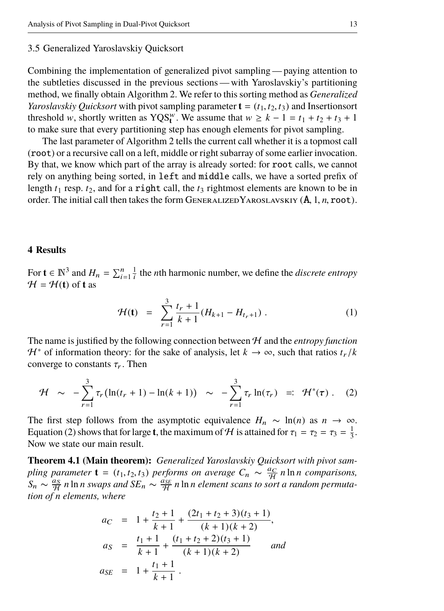#### 3.5 Generalized Yaroslavskiy Quicksort

Combining the implementation of generalized pivot sampling — paying attention to the subtleties discussed in the previous sections — with Yaroslavskiy's partitioning method, we finally obtain [Algorithm 2.](#page-10-0) We refer to this sorting method as *Generalized Yaroslavskiy Quicksort* with pivot sampling parameter  $\mathbf{t} = (t_1, t_2, t_3)$  and Insertionsort threshold w, shortly written as YQS<sup>*w*</sup>. We assume that  $w \ge k - 1 = t_1 + t_2 + t_3 + 1$ to make sure that every partitioning step has enough elements for pivot sampling.

The last parameter of [Algorithm 2](#page-10-0) tells the current call whether it is a topmost call (root) or a recursive call on a left, middle or right subarray of some earlier invocation. By that, we know which part of the array is already sorted: for root calls, we cannot rely on anything being sorted, in left and middle calls, we have a sorted prefix of length  $t_1$  resp.  $t_2$ , and for a right call, the  $t_3$  rightmost elements are known to be in order. The initial call then takes the form GENERALIZEDYAROSLAVSKIY  $(A, 1, n, root)$ .

#### <span id="page-12-0"></span>**4 Results**

For  $\mathbf{t} \in \mathbb{N}^3$  and  $H_n = \sum_{i=1}^n \frac{1}{i}$  the *n*th harmonic number, we define the *discrete entropy*  $H = H(t)$  of **t** as

<span id="page-12-3"></span><span id="page-12-1"></span>
$$
\mathcal{H}(\mathbf{t}) = \sum_{r=1}^{3} \frac{t_r + 1}{k+1} (H_{k+1} - H_{t_r+1}). \tag{1}
$$

The name is justified by the following connection between  $H$  and the *entropy function H*<sup> $*$ </sup> of information theory: for the sake of analysis, let *k* → ∞, such that ratios  $t_r/k$ converge to constants  $\tau_r$ . Then

$$
\mathcal{H} \sim -\sum_{r=1}^{3} \tau_r \left( \ln(t_r + 1) - \ln(k + 1) \right) \sim -\sum_{r=1}^{3} \tau_r \ln(\tau_r) =: \mathcal{H}^*(\tau) . \quad (2)
$$

The first step follows from the asymptotic equivalence  $H_n \sim \ln(n)$  as  $n \to \infty$ . [Equation \(2\)](#page-12-1) shows that for large **t**, the maximum of *H* is attained for  $\tau_1 = \tau_2 = \tau_3 = \frac{1}{3}$ .<br>Now we state our main result Now we state our main result.

<span id="page-12-2"></span>**Theorem 4.1 (Main theorem):** *Generalized Yaroslavskiy Quicksort with pivot sampling parameter*  $\mathbf{t} = (t_1, t_2, t_3)$  *performs on average*  $C_n \sim \frac{a_C}{H} n \ln n$  *comparisons,*<br> $S_n \sim \frac{a_S}{H} n \ln n$  *swaps and*  $S_F \sim \frac{a_{SE}}{H} n \ln n$  *element scaps to sort a random permuta-* $S_n \sim \frac{a_S}{\mathcal{H}} n \ln n$  *swaps and*  $SE_n \sim \frac{a_{SE}}{\mathcal{H}} n \ln n$  element scans to sort a random permuta*tion of n elements, where*

$$
a_C = 1 + \frac{t_2 + 1}{k + 1} + \frac{(2t_1 + t_2 + 3)(t_3 + 1)}{(k + 1)(k + 2)},
$$
  
\n
$$
a_S = \frac{t_1 + 1}{k + 1} + \frac{(t_1 + t_2 + 2)(t_3 + 1)}{(k + 1)(k + 2)} \quad \text{and}
$$
  
\n
$$
a_{SE} = 1 + \frac{t_1 + 1}{k + 1}.
$$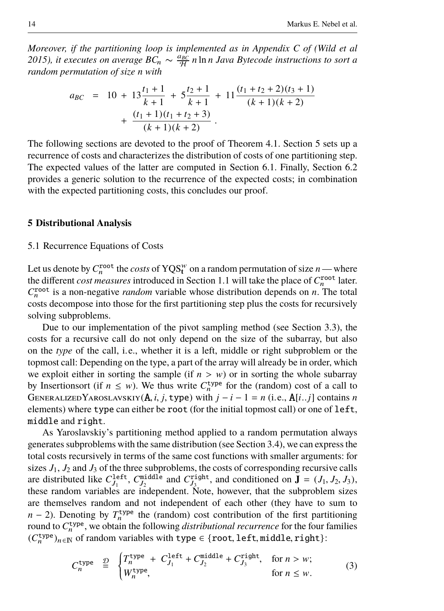*Moreover, if the partitioning loop is implemented as in Appendix C of [\(Wild et al](#page-39-4) 2015*)*, it executes on average BC*<sub>n</sub>  $\sim \frac{a_{BC}}{H}$  *n* ln *n Java Bytecode instructions to sort a random permutation of size n with*

$$
a_{BC} = 10 + 13 \frac{t_1 + 1}{k + 1} + 5 \frac{t_2 + 1}{k + 1} + 11 \frac{(t_1 + t_2 + 2)(t_3 + 1)}{(k + 1)(k + 2)} + \frac{(t_1 + 1)(t_1 + t_2 + 3)}{(k + 1)(k + 2)}.
$$

The following sections are devoted to the proof of [Theorem 4.1.](#page-12-2) [Section 5](#page-13-0) sets up a recurrence of costs and characterizes the distribution of costs of one partitioning step. The expected values of the latter are computed in [Section 6.1.](#page-19-1) Finally, [Section 6.2](#page-19-2) provides a generic solution to the recurrence of the expected costs; in combination with the expected partitioning costs, this concludes our proof.

#### <span id="page-13-0"></span>**5 Distributional Analysis**

#### <span id="page-13-1"></span>5.1 Recurrence Equations of Costs

Let us denote by  $C_n^{\text{root}}$  the *costs* of  $YQS_t^w$  on a random permutation of size *n* — where the different *cost measures* introduced in [Section 1.1](#page-2-0) will take the place of  $C_n^{\text{root}}$  later.  $C_n^{\text{root}}$  is a non-negative *random* variable whose distribution depends on *n*. The total costs decompose into those for the first partitioning step plus the costs for recursively solving subproblems.

Due to our implementation of the pivot sampling method (see [Section 3.3\)](#page-7-0), the costs for a recursive call do not only depend on the size of the subarray, but also on the *type* of the call, i.e., whether it is a left, middle or right subproblem or the topmost call: Depending on the type, a part of the array will already be in order, which we exploit either in sorting the sample (if  $n > w$ ) or in sorting the whole subarray by Insertionsort (if  $n \leq w$ ). We thus write  $C_n^{\text{type}}$  for the (random) cost of a call to GENERALIZEDYAROSLAVSKIY( $\bf{A}$ , *i*, *j*, type) with  $j - i - 1 = n$  (i.e.,  $\bf{A}[i..j]$ ) contains *n* elements) where type can either be root (for the initial topmost call) or one of left, middle and right.

As Yaroslavskiy's partitioning method applied to a random permutation always generates subproblems with the same distribution (see [Section 3.4\)](#page-9-0), we can express the total costs recursively in terms of the same cost functions with smaller arguments: for sizes  $J_1$ ,  $J_2$  and  $J_3$  of the three subproblems, the costs of corresponding recursive calls are distributed like  $C_{J_1}^{\text{left}}$ ,  $C_{J_2}^{\text{middle}}$  and  $C_{J_3}^{\text{right}}$ , and conditioned on  $\mathbf{J} = (J_1, J_2, J_3)$ , these random variables are independent. Note, however, that the subproblem sizes are themselves random and not independent of each other (they have to sum to  $n-2$ ). Denoting by  $T_n^{\text{type}}$  the (random) cost contribution of the first partitioning round to  $C_n^{\text{type}}$ , we obtain the following *distributional recurrence* for the four families  $(C_n^{\text{type}})_{n \in \mathbb{N}}$  of random variables with type ∈ {root, left, middle, right}:

<span id="page-13-2"></span>
$$
C_n^{\text{type}} \stackrel{\mathcal{D}}{=} \begin{cases} T_n^{\text{type}} + C_{J_1}^{\text{left}} + C_{J_2}^{\text{middle}} + C_{J_3}^{\text{right}}, & \text{for } n > w; \\ W_n^{\text{type}}, & \text{for } n \le w. \end{cases} \tag{3}
$$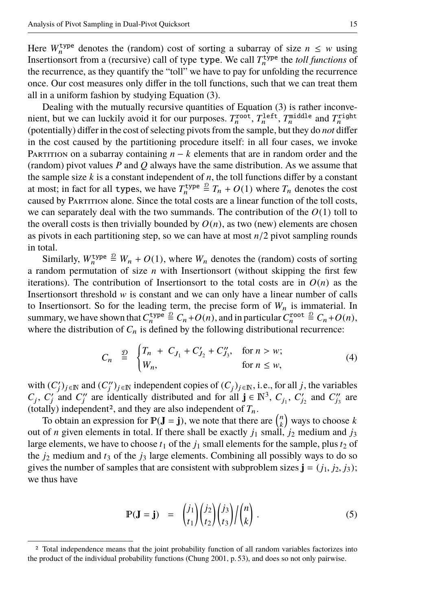Here  $W_n^{\text{type}}$  denotes the (random) cost of sorting a subarray of size  $n \leq w$  using Insertions of from a (recursive) call of type type. We call  $T_n^{\text{type}}$  the *toll functions* of the recurrence, as they quantify the "toll" we have to pay for unfolding the recurrence once. Our cost measures only differ in the toll functions, such that we can treat them all in a uniform fashion by studying [Equation \(3\).](#page-13-2)

Dealing with the mutually recursive quantities of [Equation \(3\)](#page-13-2) is rather inconvenient, but we can luckily avoid it for our purposes.  $T_n^{\text{root}}, T_n^{\text{left}}, T_n^{\text{middle}}$  and  $T_n^{\text{right}}$ (potentially) differ in the cost of selecting pivots from the sample, but they do *not* differ in the cost caused by the partitioning procedure itself: in all four cases, we invoke PARTITION on a subarray containing  $n - k$  elements that are in random order and the (random) pivot values *P* and *Q* always have the same distribution. As we assume that the sample size  $k$  is a constant independent of  $n$ , the toll functions differ by a constant at most; in fact for all types, we have  $T_n^{\text{type}} \stackrel{\mathcal{D}}{=} T_n + O(1)$  where  $T_n$  denotes the cost caused by Partition alone. Since the total costs are a linear function of the toll costs, we can separately deal with the two summands. The contribution of the  $O(1)$  toll to the overall costs is then trivially bounded by  $O(n)$ , as two (new) elements are chosen as pivots in each partitioning step, so we can have at most *<sup>n</sup>*/2 pivot sampling rounds in total.

Similarly,  $W_n^{\text{type}} \stackrel{\mathcal{D}}{=} W_n + O(1)$ , where  $W_n$  denotes the (random) costs of sorting a random permutation of size *n* with Insertionsort (without skipping the first few iterations). The contribution of Insertionsort to the total costs are in  $O(n)$  as the Insertionsort threshold  $w$  is constant and we can only have a linear number of calls to Insertionsort. So for the leading term, the precise form of  $W_n$  is immaterial. In summary, we have shown that  $C_n^{\text{type}} \stackrel{\mathcal{D}}{=} C_n + O(n)$ , and in particular  $C_n^{\text{root}} \stackrel{\mathcal{D}}{=} C_n + O(n)$ , where the distribution of  $C_n$  is defined by the following distributional recurrence:

<span id="page-14-2"></span>
$$
C_n \stackrel{\mathcal{D}}{=} \begin{cases} T_n + C_{J_1} + C'_{J_2} + C''_{J_3}, & \text{for } n > w; \\ W_n, & \text{for } n \le w, \end{cases} \tag{4}
$$

with  $(C'_j)_{j \in \mathbb{N}}$  and  $(C''_j)_{j \in \mathbb{N}}$  independent copies of  $(C_j)_{j \in \mathbb{N}}$ , i.e., for all *j*, the variables  $C_j$ ,  $C'_j$  and  $C''_j$  are identically distributed and for all  $\mathbf{j} \in \mathbb{N}^3$ ,  $C_{j_1}$ ,  $C'_{j_2}$  and  $C''_{j_3}$  are (totally) independent<sup>[2](#page-14-0)</sup>, and they are also independent of  $T_n$ .

To obtain an expression for  $\mathbb{P}(\mathbf{J} = \mathbf{j})$ , we note that there are  $\binom{n}{k}$  ways to choose *k* out of *n* given elements in total. If there shall be exactly  $j_1$  small,  $j_2$  medium and  $j_3$ large elements, we have to choose  $t_1$  of the  $j_1$  small elements for the sample, plus  $t_2$  of the  $j_2$  medium and  $t_3$  of the  $j_3$  large elements. Combining all possibly ways to do so gives the number of samples that are consistent with subproblem sizes  $\mathbf{j} = (j_1, j_2, j_3)$ ; we thus have

<span id="page-14-1"></span>
$$
\mathbf{P}(\mathbf{J} = \mathbf{j}) = {j_1 \choose t_1} {j_2 \choose t_2} {j_3 \choose t_3} / {n \choose k}.
$$
 (5)

<span id="page-14-0"></span><sup>2</sup> Total independence means that the joint probability function of all random variables factorizes into the product of the individual probability functions [\(Chung 2001,](#page-38-8) p. 53), and does so not only pairwise.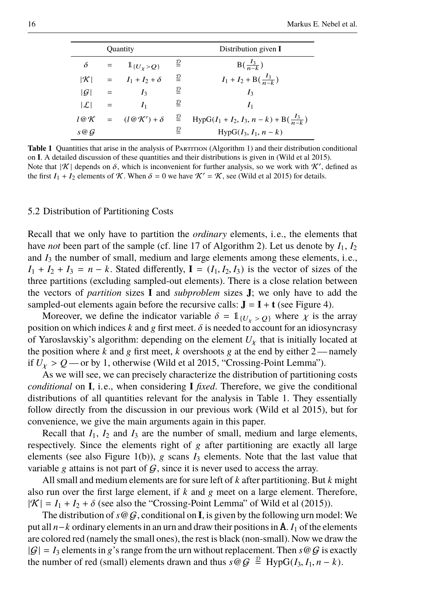|     |     | <b>Quantity</b>                                                     |                                      | Distribution given I                               |
|-----|-----|---------------------------------------------------------------------|--------------------------------------|----------------------------------------------------|
| δ   | $=$ | $1_{\{U_v > Q\}}$                                                   | ≗                                    | $B(\frac{I_3}{n-k})$                               |
|     |     | $ \mathcal{K}  = I_1 + I_2 + \delta$                                | ₽                                    | $I_1 + I_2 + B(\frac{I_3}{n-k})$                   |
| G   | $=$ | I <sub>3</sub>                                                      | ₽                                    | $I_3$                                              |
| L   | $=$ | I <sub>1</sub>                                                      | $\overline{D}$                       | I <sub>1</sub>                                     |
|     |     | $l \mathcal{Q} \mathcal{K} = (l \mathcal{Q} \mathcal{K}') + \delta$ | $\frac{D}{2}$                        | $HypG(I_1 + I_2, I_3, n - k) + B(\frac{I_3}{n-k})$ |
| s@G |     |                                                                     | $\mathfrak{\underline{\mathcal{D}}}$ | $HypG(I_3, I_1, n-k)$                              |

<span id="page-15-0"></span>**Table 1** Quantities that arise in the analysis of PARTITION [\(Algorithm 1\)](#page-6-0) and their distribution conditional on **I**. A detailed discussion of these quantities and their distributions is given in [\(Wild et al 2015\)](#page-39-4). Note that  $|\mathcal{K}|$  depends on  $\delta$ , which is inconvenient for further analysis, so we work with  $\mathcal{K}'$ , defined as the first  $I_1 + I_2$  elements of K. When  $\delta = 0$  we have  $\mathcal{K}' = \mathcal{K}$ , see [\(Wild et al 2015\)](#page-39-4) for details.

#### 5.2 Distribution of Partitioning Costs

Recall that we only have to partition the *ordinary* elements, i.e., the elements that have *not* been part of the sample (cf. line 17 of [Algorithm 2\)](#page-10-0). Let us denote by  $I_1, I_2$ and *I*<sup>3</sup> the number of small, medium and large elements among these elements, i.e.,  $I_1 + I_2 + I_3 = n - k$ . Stated differently,  $I = (I_1, I_2, I_3)$  is the vector of sizes of the three partitions (excluding sampled-out elements). There is a close relation between the vectors of *partition* sizes **I** and *subproblem* sizes **J**; we only have to add the sampled-out elements again before the recursive calls:  $J = I + t$  (see [Figure 4\)](#page-9-1).

Moreover, we define the indicator variable  $\delta = 1_{\{U_{\nu} > Q\}}$  where  $\chi$  is the array position on which indices  $k$  and  $g$  first meet.  $\delta$  is needed to account for an idiosyncrasy of Yaroslavskiy's algorithm: depending on the element  $U<sub>X</sub>$  that is initially located at the position where  $k$  and  $g$  first meet,  $k$  overshoots  $g$  at the end by either  $2$ —namely if  $U_Y > Q$  — or by 1, otherwise [\(Wild et al 2015,](#page-39-4) "Crossing-Point Lemma").

As we will see, we can precisely characterize the distribution of partitioning costs *conditional* on **I**, i.e., when considering **I** *fixed*. Therefore, we give the conditional distributions of all quantities relevant for the analysis in [Table 1.](#page-15-0) They essentially follow directly from the discussion in our previous work [\(Wild et al 2015\)](#page-39-4), but for convenience, we give the main arguments again in this paper.

Recall that  $I_1$ ,  $I_2$  and  $I_3$  are the number of small, medium and large elements, respectively. Since the elements right of  $g$  after partitioning are exactly all large elements (see also [Figure 1\(b\)\)](#page-5-2),  $g$  scans  $I_3$  elements. Note that the last value that variable g attains is not part of  $G$ , since it is never used to access the array.

All small and medium elements are for sure left of *k* after partitioning. But *k* might also run over the first large element, if *k* and g meet on a large element. Therefore,  $|\mathcal{K}| = I_1 + I_2 + \delta$  (see also the "Crossing-Point Lemma" of [Wild et al](#page-39-4) [\(2015\)](#page-39-4)).

The distribution of  $s \otimes G$ , conditional on **I**, is given by the following urn model: We put all *n*−*k* ordinary elements in an urn and draw their positions in A. *I*<sup>1</sup> of the elements are colored red (namely the small ones), the rest is black (non-small). Now we draw the  $|G| = I_3$  elements in g's range from the urn without replacement. Then  $s \mathcal{Q} G$  is exactly the number of red (small) elements drawn and thus  $s \circledcirc G \stackrel{\mathcal{D}}{=} \text{HypG}(I_3, I_1, n-k)$ .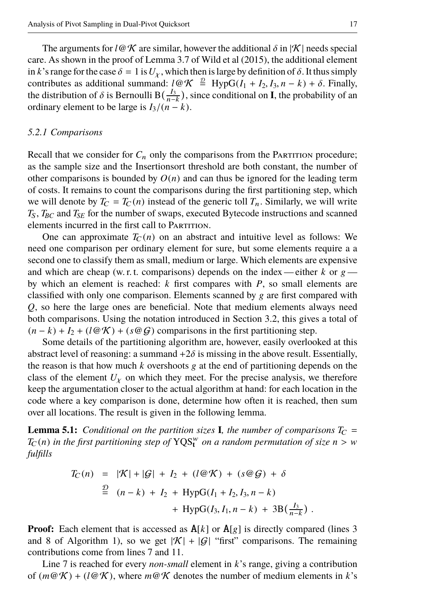The arguments for *l* @ K are similar, however the additional  $\delta$  in |K| needs special care. As shown in the proof of Lemma 3.7 of [Wild et al](#page-39-4) [\(2015\)](#page-39-4), the additional element in *k*'s range for the case  $\delta = 1$  is  $U_Y$ , which then is large by definition of  $\delta$ . It thus simply contributes as additional summand:  $l \mathcal{QK} \stackrel{\mathcal{D}}{=} \text{HypG}(I_1 + I_2, I_3, n - k) + \delta$ . Finally, the distribution of  $\delta$  is Bernoulli B( $\frac{I_3}{\delta}$ ) since conditional on **I** the probability of an the distribution of  $\delta$  is Bernoulli B( $\frac{I_3}{n-k}$ ), since conditional on **I**, the probability of an ordinary element to be large is  $I_2/(n-k)$ ordinary element to be large is  $I_3/(n-k)$ .

#### *5.2.1 Comparisons*

Recall that we consider for  $C_n$  only the comparisons from the PARTITION procedure; as the sample size and the Insertionsort threshold are both constant, the number of other comparisons is bounded by  $O(n)$  and can thus be ignored for the leading term of costs. It remains to count the comparisons during the first partitioning step, which we will denote by  $T_C = T_C(n)$  instead of the generic toll  $T_n$ . Similarly, we will write *T*S, *TBC* and *TSE* for the number of swaps, executed Bytecode instructions and scanned elements incurred in the first call to PARTITION.

One can approximate  $T_C(n)$  on an abstract and intuitive level as follows: We need one comparison per ordinary element for sure, but some elements require a a second one to classify them as small, medium or large. Which elements are expensive and which are cheap (w. r. t. comparisons) depends on the index — either  $k$  or  $g$  by which an element is reached: *k* first compares with *P*, so small elements are classified with only one comparison. Elements scanned by  $g$  are first compared with *Q*, so here the large ones are beneficial. Note that medium elements always need both comparisons. Using the notation introduced in [Section 3.2,](#page-5-0) this gives a total of  $(n - k) + I_2 + (l \mathcal{QK}) + (s \mathcal{QG})$  comparisons in the first partitioning step.

Some details of the partitioning algorithm are, however, easily overlooked at this abstract level of reasoning: a summand  $+2\delta$  is missing in the above result. Essentially, the reason is that how much  $k$  overshoots  $g$  at the end of partitioning depends on the class of the element  $U<sub>y</sub>$  on which they meet. For the precise analysis, we therefore keep the argumentation closer to the actual algorithm at hand: for each location in the code where a key comparison is done, determine how often it is reached, then sum over all locations. The result is given in the following lemma.

<span id="page-16-0"></span>**Lemma 5.1:** *Conditional on the partition sizes* **I***, the number of comparisons*  $T_C$  =  $T_C(n)$  *in the first partitioning step of*  $YQS_t^w$  *on a random permutation of size*  $n > w$ <br>fulfills *fulfills*

$$
T_C(n) = |\mathcal{K}| + |\mathcal{G}| + I_2 + (l \mathcal{Q} \mathcal{K}) + (s \mathcal{Q} \mathcal{G}) + \delta
$$
  
\n
$$
\stackrel{\mathcal{D}}{=} (n-k) + I_2 + \text{HypG}(I_1 + I_2, I_3, n-k)
$$
  
\n
$$
+ \text{HypG}(I_3, I_1, n-k) + 3\text{B}(\frac{I_3}{n-k})
$$

**Proof:** Each element that is accessed as  $A[k]$  or  $A[g]$  is directly compared (lines 3) and 8 of [Algorithm 1\)](#page-6-0), so we get  $|\mathcal{K}| + |\mathcal{G}|$  "first" comparisons. The remaining contributions come from lines 7 and 11.

Line 7 is reached for every *non-small* element in *k*'s range, giving a contribution of  $(m@K) + (l@K)$ , where  $m@K$  denotes the number of medium elements in k's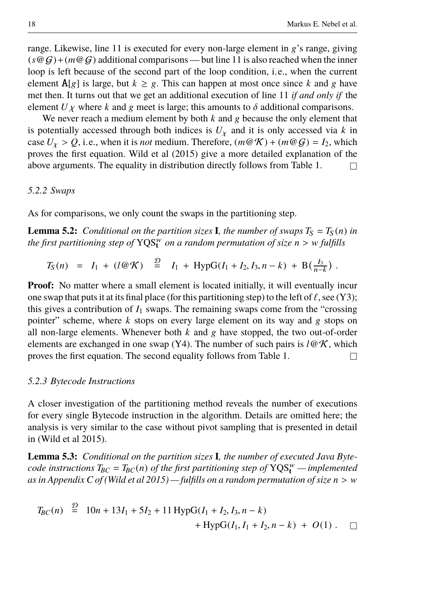range. Likewise, line 11 is executed for every non-large element in g's range, giving  $(s \circledcirc G) + (m \circledcirc G)$  additional comparisons — but line 11 is also reached when the inner loop is left because of the second part of the loop condition, i.e., when the current element  $\mathbf{A}[g]$  is large, but  $k \geq g$ . This can happen at most once since k and g have met then. It turns out that we get an additional execution of line 11 *if and only if* the element  $U\chi$  where k and g meet is large; this amounts to  $\delta$  additional comparisons.

We never reach a medium element by both  $k$  and  $g$  because the only element that is potentially accessed through both indices is  $U<sub>X</sub>$  and it is only accessed via *k* in case  $U_x > Q$ , i.e., when it is *not* medium. Therefore,  $(m@\mathcal{K}) + (m@\mathcal{G}) = I_2$ , which proves the first equation. [Wild et al](#page-39-4) [\(2015\)](#page-39-4) give a more detailed explanation of the above arguments. The equality in distribution directly follows from [Table 1.](#page-15-0)  $\Box$ 

#### *5.2.2 Swaps*

As for comparisons, we only count the swaps in the partitioning step.

<span id="page-17-0"></span>**Lemma 5.2:** *Conditional on the partition sizes* **I***, the number of swaps*  $T_S = T_S(n)$  *in the first partitioning step of*  $YQS<sub>t</sub><sup>w</sup>$  *on a random permutation of size n* > *w fulfills* 

 $T_S(n) = I_1 + (l \otimes \mathcal{K}) \stackrel{\mathcal{D}}{=} I_1 + \text{HypG}(I_1 + I_2, I_3, n-k) + \text{B}(\frac{I_3}{n-k}).$ 

**Proof:** No matter where a small element is located initially, it will eventually incur one swap that puts it at its final place (for this partitioning step) to the left of  $\ell$ , see [\(Y3\);](#page-6-3) this gives a contribution of  $I_1$  swaps. The remaining swaps come from the "crossing" pointer" scheme, where *k* stops on every large element on its way and g stops on all non-large elements. Whenever both *k* and g have stopped, the two out-of-order elements are exchanged in one swap [\(Y4\).](#page-6-4) The number of such pairs is  $l \mathcal{Q} \mathcal{K}$ , which proves the first equation. The second equality follows from [Table 1.](#page-15-0)  $\Box$ 

## *5.2.3 Bytecode Instructions*

 $\overline{a}$ 

A closer investigation of the partitioning method reveals the number of executions for every single Bytecode instruction in the algorithm. Details are omitted here; the analysis is very similar to the case without pivot sampling that is presented in detail in [\(Wild et al 2015\)](#page-39-4).

<span id="page-17-1"></span>**Lemma 5.3:** *Conditional on the partition sizes* **I***, the number of executed Java Bytecode instructions*  $T_{BC} = T_{BC}(n)$  *of the first partitioning step of*  $YQS_t^w$  — *implemented as in Appendix C of [\(Wild et al 2015\)](#page-39-4) — fulfills on a random permutation of size <sup>n</sup>* > <sup>w</sup>

$$
T_{BC}(n) \stackrel{\mathcal{D}}{=} 10n + 13I_1 + 5I_2 + 11 \text{ HypG}(I_1 + I_2, I_3, n - k) + \text{HypG}(I_1, I_1 + I_2, n - k) + O(1) . \quad \Box
$$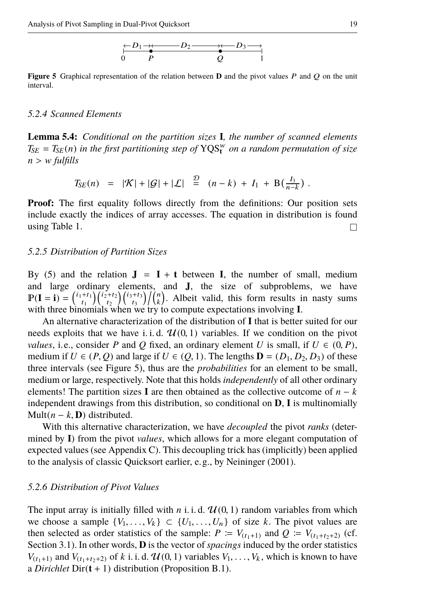$$
\stackrel{\leftarrow}{\underset{0}{\longleftarrow}}\stackrel{D_1\rightarrow\leftarrow}{\underset{P}{\longleftarrow}}\stackrel{D_2\rightarrow\leftarrow}{\underset{Q}{\longleftarrow}}\stackrel{\rightarrow\leftarrow}{\underset{1}{\longleftarrow}}\stackrel{D_3\rightarrow\rightarrow}{\longrightarrow}
$$

<span id="page-18-0"></span>**Figure 5** Graphical representation of the relation between **D** and the pivot values P and O on the unit interval.

#### *5.2.4 Scanned Elements*

<span id="page-18-1"></span>**Lemma 5.4:** *Conditional on the partition sizes* **I***, the number of scanned elements*  $T_{SE} = T_{SE}(n)$  *in the first partitioning step of*  $YQS_t^w$  *on a random permutation of size <sup>n</sup>* > <sup>w</sup> *fulfills*

$$
T_{SE}(n) = |\mathcal{K}| + |\mathcal{G}| + |\mathcal{L}| \stackrel{\mathcal{D}}{=} (n-k) + I_1 + B(\frac{I_3}{n-k}).
$$

**Proof:** The first equality follows directly from the definitions: Our position sets include exactly the indices of array accesses. The equation in distribution is found using [Table 1.](#page-15-0)  $\Box$ 

#### *5.2.5 Distribution of Partition Sizes*

By [\(5\)](#page-14-1) and the relation  $J = I + t$  between I, the number of small, medium and large ordinary elements, and **J**, the size of subproblems, we have  $\mathbb{P}(\mathbf{I} = \mathbf{i}) = {\binom{i_1+i_1}{t_1}} {\binom{i_2+i_2}{t_2}} {\binom{i_3+i_3}{t_3}} / {\binom{n}{k}}$ . Albeit valid, this form results in nasty sums with three binomials when we try to compute expectations involving **I**.

An alternative characterization of the distribution of **I** that is better suited for our needs exploits that we have i.i.d.  $\mathcal{U}(0, 1)$  variables. If we condition on the pivot *values*, i.e., consider *P* and *Q* fixed, an ordinary element *U* is small, if  $U \in (0, P)$ , medium if  $U \in (P, Q)$  and large if  $U \in (Q, 1)$ . The lengths  $\mathbf{D} = (D_1, D_2, D_3)$  of these three intervals (see [Figure 5\)](#page-18-0), thus are the *probabilities* for an element to be small, medium or large, respectively. Note that this holds *independently* of all other ordinary elements! The partition sizes **I** are then obtained as the collective outcome of  $n - k$ independent drawings from this distribution, so conditional on **D**, **I** is multinomially Mult( $n - k$ , **D**) distributed.

With this alternative characterization, we have *decoupled* the pivot *ranks* (determined by **I**) from the pivot *values*, which allows for a more elegant computation of expected values (see [Appendix C\)](#page-45-0). This decoupling trick has (implicitly) been applied to the analysis of classic Quicksort earlier, e.g., by [Neininger](#page-39-13) [\(2001\)](#page-39-13).

#### *5.2.6 Distribution of Pivot Values*

The input array is initially filled with *n* i.i.d.  $\mathcal{U}(0, 1)$  random variables from which we choose a sample  $\{V_1, \ldots, V_k\} \subset \{U_1, \ldots, U_n\}$  of size *k*. The pivot values are then selected as order statistics of the sample:  $P := V_{(t_1+1)}$  and  $Q := V_{(t_1+t_2+2)}$  (cf. [Section 3.1\)](#page-4-1). In other words, **D** is the vector of *spacings* induced by the order statistics  $V_{(t_1+1)}$  and  $V_{(t_1+t_2+2)}$  of *k* i. i. d.  $\mathcal{U}(0, 1)$  variables  $V_1, \ldots, V_k$ , which is known to have a *Dirichlet* Dir(**t** + 1) distribution [\(Proposition B.1\)](#page-43-0).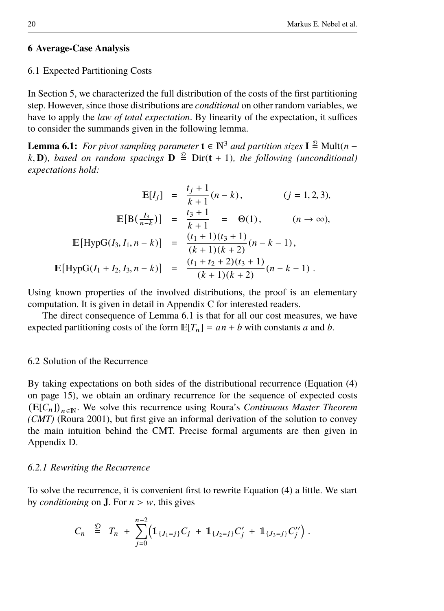# <span id="page-19-0"></span>**6 Average-Case Analysis**

#### <span id="page-19-1"></span>6.1 Expected Partitioning Costs

In [Section 5,](#page-13-0) we characterized the full distribution of the costs of the first partitioning step. However, since those distributions are *conditional* on other random variables, we have to apply the *law of total expectation*. By linearity of the expectation, it suffices to consider the summands given in the following lemma.

<span id="page-19-3"></span>**Lemma 6.1:** *For pivot sampling parameter*  $\mathbf{t} \in \mathbb{N}^3$  *and partition sizes*  $\mathbf{I} \stackrel{\mathcal{D}}{=}$  Mult(*n* – *k*, **D**)*, based on random spacings*  $\mathbf{D} \stackrel{\mathcal{D}}{=}$  Dir(**t** + 1)*, the following (unconditional)*<br>expectations hold: *expectations hold:*

$$
\mathbb{E}[I_j] = \frac{t_j + 1}{k + 1}(n - k), \qquad (j = 1, 2, 3),
$$
  
\n
$$
\mathbb{E}[B(\frac{I_3}{n - k})] = \frac{t_3 + 1}{k + 1} = \Theta(1), \qquad (n \to \infty),
$$
  
\n
$$
\mathbb{E}[HypG(I_3, I_1, n - k)] = \frac{(t_1 + 1)(t_3 + 1)}{(k + 1)(k + 2)}(n - k - 1),
$$
  
\n
$$
\mathbb{E}[HypG(I_1 + I_2, I_3, n - k)] = \frac{(t_1 + t_2 + 2)(t_3 + 1)}{(k + 1)(k + 2)}(n - k - 1).
$$

Using known properties of the involved distributions, the proof is an elementary computation. It is given in detail in [Appendix C](#page-45-0) for interested readers.

The direct consequence of [Lemma 6.1](#page-19-3) is that for all our cost measures, we have expected partitioning costs of the form  $E[T_n] = an + b$  with constants *a* and *b*.

# <span id="page-19-2"></span>6.2 Solution of the Recurrence

By taking expectations on both sides of the distributional recurrence [\(Equation \(4\)](#page-14-2) [on page 15\)](#page-14-2), we obtain an ordinary recurrence for the sequence of expected costs  $(E[C_n])_{n \in \mathbb{N}}$ . We solve this recurrence using [Roura'](#page-39-14)s *Continuous Master Theorem (CMT)* [\(Roura 2001\)](#page-39-14), but first give an informal derivation of the solution to convey the main intuition behind the CMT. Precise formal arguments are then given in [Appendix D.](#page-46-0)

#### *6.2.1 Rewriting the Recurrence*

To solve the recurrence, it is convenient first to rewrite [Equation \(4\)](#page-14-2) a little. We start by *conditioning* on **J**. For  $n > w$ , this gives

$$
C_n \stackrel{D}{=} T_n + \sum_{j=0}^{n-2} \left( \mathbb{1}_{\{J_1=j\}} C_j + \mathbb{1}_{\{J_2=j\}} C'_j + \mathbb{1}_{\{J_3=j\}} C''_j \right).
$$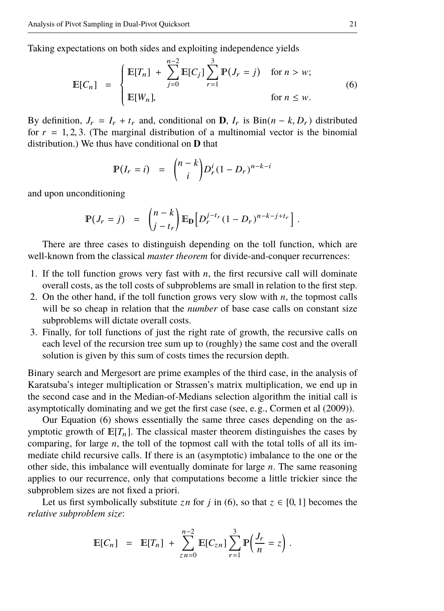Taking expectations on both sides and exploiting independence yields

$$
\mathbb{E}[C_n] = \begin{cases} \mathbb{E}[T_n] + \sum_{j=0}^{n-2} \mathbb{E}[C_j] \sum_{r=1}^3 \mathbb{P}(J_r = j) & \text{for } n > w; \\ \mathbb{E}[W_n], & \text{for } n \le w. \end{cases}
$$
(6)

By definition,  $J_r = I_r + t_r$  and, conditional on **D**,  $I_r$  is Bin( $n - k$ ,  $D_r$ ) distributed for  $r = 1, 2, 3$ . (The marginal distribution of a multinomial vector is the binomial distribution.) We thus have conditional on **D** that

<span id="page-20-0"></span>
$$
\mathbb{P}(I_r = i) = {n-k \choose i} D_r^i (1 - D_r)^{n-k-i}
$$

and upon unconditioning

$$
\mathbb{P}(J_r = j) = {n-k \choose j-t_r} \mathbb{E}_{\mathbf{D}} \Big[ D_r^{j-t_r} (1 - D_r)^{n-k-j+t_r} \Big].
$$

There are three cases to distinguish depending on the toll function, which are well-known from the classical *master theorem* for divide-and-conquer recurrences:

- 1. If the toll function grows very fast with *n*, the first recursive call will dominate overall costs, as the toll costs of subproblems are small in relation to the first step.
- 2. On the other hand, if the toll function grows very slow with *n*, the topmost calls will be so cheap in relation that the *number* of base case calls on constant size subproblems will dictate overall costs.
- 3. Finally, for toll functions of just the right rate of growth, the recursive calls on each level of the recursion tree sum up to (roughly) the same cost and the overall solution is given by this sum of costs times the recursion depth.

Binary search and Mergesort are prime examples of the third case, in the analysis of Karatsuba's integer multiplication or Strassen's matrix multiplication, we end up in the second case and in the Median-of-Medians selection algorithm the initial call is asymptotically dominating and we get the first case (see, e.g., [Cormen et al](#page-38-9) [\(2009\)](#page-38-9)).

Our [Equation \(6\)](#page-20-0) shows essentially the same three cases depending on the asymptotic growth of  $E[T_n]$ . The classical master theorem distinguishes the cases by comparing, for large *n*, the toll of the topmost call with the total tolls of all its immediate child recursive calls. If there is an (asymptotic) imbalance to the one or the other side, this imbalance will eventually dominate for large *n*. The same reasoning applies to our recurrence, only that computations become a little trickier since the subproblem sizes are not fixed a priori.

Let us first symbolically substitute *zn* for *j* in [\(6\)](#page-20-0), so that  $z \in [0, 1]$  becomes the *relative subproblem size*:

$$
\mathbb{E}[C_n] = \mathbb{E}[T_n] + \sum_{z=n=0}^{n-2} \mathbb{E}[C_{zn}] \sum_{r=1}^{3} \mathbb{P}\left(\frac{J_r}{n} = z\right).
$$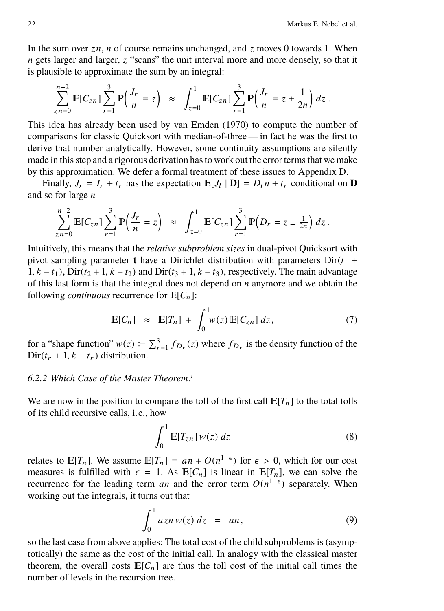In the sum over  $zn$ , *n* of course remains unchanged, and  $z$  moves 0 towards 1. When *n* gets larger and larger, *z* "scans" the unit interval more and more densely, so that it is plausible to approximate the sum by an integral:

$$
\sum_{z=n=0}^{n-2} \mathbb{E}[C_{zn}] \sum_{r=1}^{3} \mathbb{P}\left(\frac{J_r}{n} = z\right) \approx \int_{z=0}^{1} \mathbb{E}[C_{zn}] \sum_{r=1}^{3} \mathbb{P}\left(\frac{J_r}{n} = z \pm \frac{1}{2n}\right) dz.
$$

This idea has already been used by [van Emden](#page-38-10) [\(1970\)](#page-38-10) to compute the number of comparisons for classic Quicksort with median-of-three — in fact he was the first to derive that number analytically. However, some continuity assumptions are silently made in this step and a rigorous derivation has to work out the error terms that we make by this approximation. We defer a formal treatment of these issues to [Appendix D.](#page-46-0)

Finally,  $J_r = I_r + t_r$  has the expectation  $\mathbb{E}[J_l | \mathbf{D}] = D_l n + t_r$  conditional on **D** and so for large *n*

$$
\sum_{z=n=0}^{n-2} \mathbb{E}[C_{zn}] \sum_{r=1}^{3} \mathbb{P}\left(\frac{J_r}{n} = z\right) \approx \int_{z=0}^{1} \mathbb{E}[C_{zn}] \sum_{r=1}^{3} \mathbb{P}\left(D_r = z \pm \frac{1}{2n}\right) dz.
$$

Intuitively, this means that the *relative subproblem sizes* in dual-pivot Quicksort with pivot sampling parameter **t** have a Dirichlet distribution with parameters  $Dir(t_1 +$ 1,  $k - t_1$ ), Dir( $t_2 + 1$ ,  $k - t_2$ ) and Dir( $t_3 + 1$ ,  $k - t_3$ ), respectively. The main advantage of this last form is that the integral does not depend on *n* anymore and we obtain the following *continuous* recurrence for  $E[C_n]$ :

$$
\mathbb{E}[C_n] \approx \mathbb{E}[T_n] + \int_0^1 w(z) \mathbb{E}[C_{zn}] dz, \qquad (7)
$$

for a "shape function"  $w(z) \coloneqq \sum_{r=1}^{3} f_{D_r}(z)$  where  $f_{D_r}$  is the density function of the Dir( $t_r$  + 1,  $k - t_r$ ) distribution.

# *6.2.2 Which Case of the Master Theorem?*

We are now in the position to compare the toll of the first call  $\mathbb{E}[T_n]$  to the total tolls of its child recursive calls, i.e., how

<span id="page-21-0"></span>
$$
\int_0^1 \mathbb{E}[T_{zn}] w(z) dz \tag{8}
$$

relates to  $\mathbb{E}[T_n]$ . We assume  $\mathbb{E}[T_n] = an + O(n^{1-\epsilon})$  for  $\epsilon > 0$ , which for our cost measures is fulfilled with  $\epsilon = 1$ , As  $\mathbb{E}[C_1]$  is linear in  $\mathbb{E}[T_1]$ , we can solve the measures is fulfilled with  $\epsilon = 1$ . As  $\mathbb{E}[C_n]$  is linear in  $\mathbb{E}[T_n]$ , we can solve the recurrence for the leading term *an* and the error term  $O(n^{1-\epsilon})$  separately. When working out the integrals, it turns out that

<span id="page-21-1"></span>
$$
\int_0^1 a z n w(z) dz = a n, \qquad (9)
$$

so the last case from above applies: The total cost of the child subproblems is (asymptotically) the same as the cost of the initial call. In analogy with the classical master theorem, the overall costs  $E[C_n]$  are thus the toll cost of the initial call times the number of levels in the recursion tree.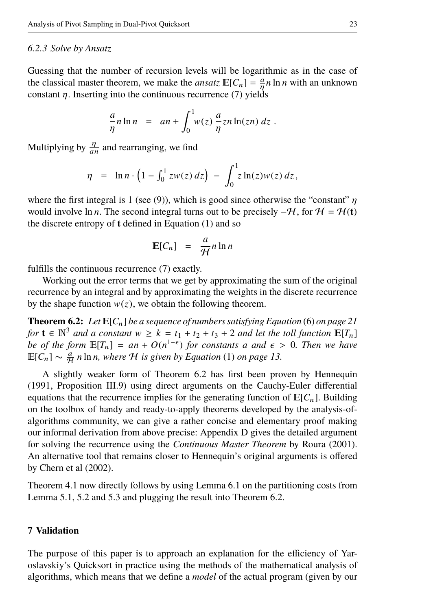# *6.2.3 Solve by Ansatz*

Guessing that the number of recursion levels will be logarithmic as in the case of the classical master theorem, we make the *ansatz*  $\mathbb{E}[C_n] = \frac{a}{n} n \ln n$  with an unknown constant  $\eta$ . Inserting into the [continuous recurrence \(7\)](#page-21-0) yields

$$
\frac{a}{\eta}n\ln n = an + \int_0^1 w(z)\frac{a}{\eta}zn\ln(zn)\,dz.
$$

Multiplying by  $\frac{\eta}{an}$  and rearranging, we find

$$
\eta = \ln n \cdot \left(1 - \int_0^1 zw(z) \, dz\right) - \int_0^1 z \ln(z) w(z) \, dz,
$$

where the first integral is 1 (see [\(9\)](#page-21-1)), which is good since otherwise the "constant"  $\eta$ would involve ln *n*. The second integral turns out to be precisely  $-\mathcal{H}$ , for  $\mathcal{H} = \mathcal{H}(\mathbf{t})$ the discrete entropy of **t** defined in [Equation \(1\)](#page-12-3) and so

$$
\mathbb{E}[C_n] = \frac{a}{\mathcal{H}} n \ln n
$$

fulfills the [continuous recurrence \(7\)](#page-21-0) exactly.

Working out the error terms that we get by approximating the sum of the original recurrence by an integral and by approximating the weights in the discrete recurrence by the shape function  $w(z)$ , we obtain the following theorem.

<span id="page-22-1"></span>**Theorem 6.2:** Let  $E[C_n]$  be a sequence of numbers satisfying Equation [\(6\)](#page-20-0) [on page 21](#page-20-0) *for*  $\mathbf{t} \in \mathbb{N}^3$  *and a constant*  $w \ge k = t_1 + t_2 + t_3 + 2$  *and let the toll function*  $\mathbb{E}[T_n]$ *be of the form*  $\mathbb{E}[T_n] = an + O(n^{1-\epsilon})$  *for constants a and*  $\epsilon > 0$ *. Then we have*  $\mathbb{E}[C_1] \sim \frac{a}{\epsilon} n \ln n$  where H is given by Equation (1) on nage 13  $\mathbb{E}[C_n] \sim \frac{a}{\mathcal{H}} n \ln n$ , where  $\mathcal H$  is given by Equation [\(1\)](#page-12-3) [on page 13.](#page-12-3)

A slightly weaker form of [Theorem 6.2](#page-22-1) has first been proven by [Hennequin](#page-38-1) [\(1991,](#page-38-1) Proposition III.9) using direct arguments on the Cauchy-Euler differential equations that the recurrence implies for the generating function of  $E[C_n]$ . Building on the toolbox of handy and ready-to-apply theorems developed by the analysis-ofalgorithms community, we can give a rather concise and elementary proof making our informal derivation from above precise: [Appendix D](#page-46-0) gives the detailed argument for solving the recurrence using the *Continuous Master Theorem* by [Roura](#page-39-14) [\(2001\)](#page-39-14). An alternative tool that remains closer to [Hennequin'](#page-38-1)s original arguments is offered by [Chern et al](#page-38-11) [\(2002\)](#page-38-11).

[Theorem 4.1](#page-12-2) now directly follows by using [Lemma 6.1](#page-19-3) on the partitioning costs from [Lemma 5.1,](#page-16-0) [5.2](#page-17-0) and [5.3](#page-17-1) and plugging the result into [Theorem 6.2.](#page-22-1)

## <span id="page-22-0"></span>**7 Validation**

The purpose of this paper is to approach an explanation for the efficiency of Yaroslavskiy's Quicksort in practice using the methods of the mathematical analysis of algorithms, which means that we define a *model* of the actual program (given by our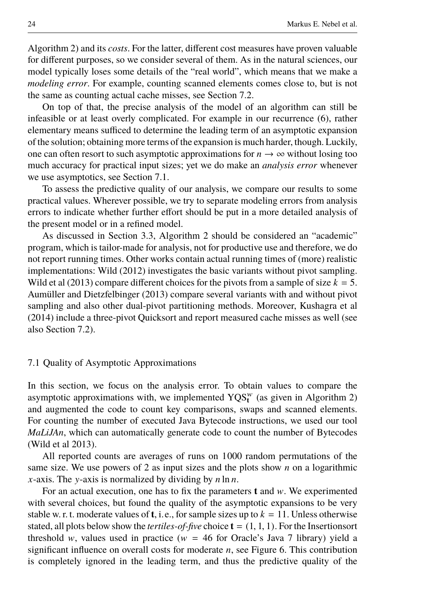[Algorithm 2\)](#page-10-0) and its *costs*. For the latter, different cost measures have proven valuable for different purposes, so we consider several of them. As in the natural sciences, our model typically loses some details of the "real world", which means that we make a *modeling error*. For example, counting scanned elements comes close to, but is not the same as counting actual cache misses, see [Section 7.2.](#page-25-0)

On top of that, the precise analysis of the model of an algorithm can still be infeasible or at least overly complicated. For example in our recurrence [\(6\)](#page-20-0), rather elementary means sufficed to determine the leading term of an asymptotic expansion of the solution; obtaining more terms of the expansion is much harder, though. Luckily, one can often resort to such asymptotic approximations for  $n \to \infty$  without losing too much accuracy for practical input sizes; yet we do make an *analysis error* whenever we use asymptotics, see [Section 7.1.](#page-23-0)

To assess the predictive quality of our analysis, we compare our results to some practical values. Wherever possible, we try to separate modeling errors from analysis errors to indicate whether further effort should be put in a more detailed analysis of the present model or in a refined model.

As discussed in [Section 3.3,](#page-7-0) [Algorithm 2](#page-10-0) should be considered an "academic" program, which is tailor-made for analysis, not for productive use and therefore, we do not report running times. Other works contain actual running times of (more) realistic implementations: [Wild](#page-39-7) [\(2012\)](#page-39-7) investigates the basic variants without pivot sampling. [Wild et al](#page-39-6) [\(2013\)](#page-39-6) compare different choices for the pivots from a sample of size  $k = 5$ . [Aumüller and Dietzfelbinger](#page-38-2) [\(2013\)](#page-38-2) compare several variants with and without pivot sampling and also other dual-pivot partitioning methods. Moreover, [Kushagra et al](#page-38-3) [\(2014\)](#page-38-3) include a three-pivot Quicksort and report measured cache misses as well (see also [Section 7.2\)](#page-25-0).

#### <span id="page-23-0"></span>7.1 Quality of Asymptotic Approximations

In this section, we focus on the analysis error. To obtain values to compare the asymptotic approximations with, we implemented  $YQS<sub>t</sub><sup>w</sup>$  (as given in [Algorithm 2\)](#page-10-0) and augmented the code to count key comparisons, swaps and scanned elements. For counting the number of executed Java Bytecode instructions, we used our tool *MaLiJAn*, which can automatically generate code to count the number of Bytecodes [\(Wild et al 2013\)](#page-39-6).

All reported counts are averages of runs on 1000 random permutations of the same size. We use powers of 2 as input sizes and the plots show *n* on a logarithmic *x*-axis. The y-axis is normalized by dividing by *n* ln *n*.

For an actual execution, one has to fix the parameters **t** and w. We experimented with several choices, but found the quality of the asymptotic expansions to be very stable w. r. t. moderate values of **t**, i.e., for sample sizes up to  $k = 11$ . Unless otherwise stated, all plots below show the *tertiles-of-five* choice  $\mathbf{t} = (1, 1, 1)$ . For the Insertionsort threshold w, values used in practice ( $w = 46$  for Oracle's Java 7 library) yield a significant influence on overall costs for moderate *n*, see [Figure 6.](#page-24-0) This contribution is completely ignored in the leading term, and thus the predictive quality of the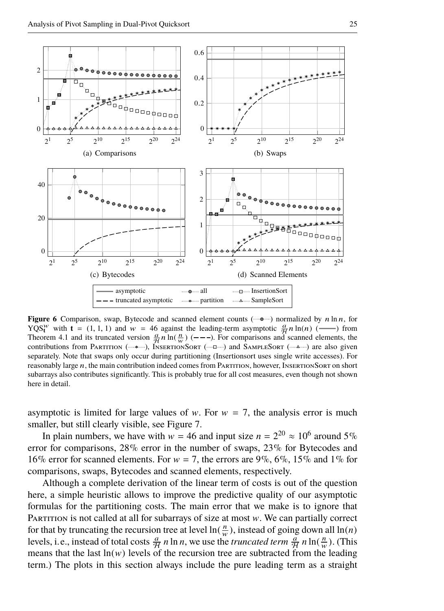

<span id="page-24-0"></span>**Figure 6** Comparison, swap, Bytecode and scanned element counts [\(](#page-0-0) $\sim$ •) normalized by n ln n, for YQS<sup>w</sup> with **t** = (1, 1, 1) and  $w = 46$  against the leading-term asymptotic  $\frac{a}{H}n \ln(n)$  (--) from [Theorem 4.1](#page-12-2) and its truncated version  $\frac{a}{H}n \ln(\frac{n}{w})$  (---). For comparisons and scanned [elemen](#page-0-0)ts, the contributions from Partition  $(\rightarrow \rightarrow \rightarrow)$  $(\rightarrow \rightarrow \rightarrow)$ , INSERTIONSORT  $(\rightarrow \rightarrow \rightarrow)$  and SAMPLESORT  $(\rightarrow \rightarrow \rightarrow)$  are also given separately. Note that swaps only occur during partitioning (Insertionsort uses single write accesses). For reasonably large n, the main contribution indeed comes from PARTITION, however, INSERTIONSORT on short subarrays also contributes significantly. This is probably true for all cost measures, even though not shown here in detail.

asymptotic is limited for large values of w. For  $w = 7$ , the analysis error is much smaller, but still clearly visible, see [Figure 7.](#page-25-1)

In plain numbers, we have with  $w = 46$  and input size  $n = 2^{20} \approx 10^6$  around 5% error for comparisons, 28% error in the number of swaps, 23% for Bytecodes and 16% error for scanned elements. For  $w = 7$ , the errors are 9%, 6%, 15% and 1% for comparisons, swaps, Bytecodes and scanned elements, respectively.

Although a complete derivation of the linear term of costs is out of the question here, a simple heuristic allows to improve the predictive quality of our asymptotic formulas for the partitioning costs. The main error that we make is to ignore that PARTITION is not called at all for subarrays of size at most  $w$ . We can partially correct for that by truncating the recursion tree at level  $ln(\frac{n}{w})$ , instead of going down all  $ln(n)$ levels, i.e., instead of total costs  $\frac{a}{\mathcal{H}} n \ln n$ , we use the *truncated term*  $\frac{a}{\mathcal{H}} n \ln(\frac{n}{w})$ . (This means that the last  $ln(w)$  levels of the recursion tree are subtracted from the leading term.) The plots in this section always include the pure leading term as a straight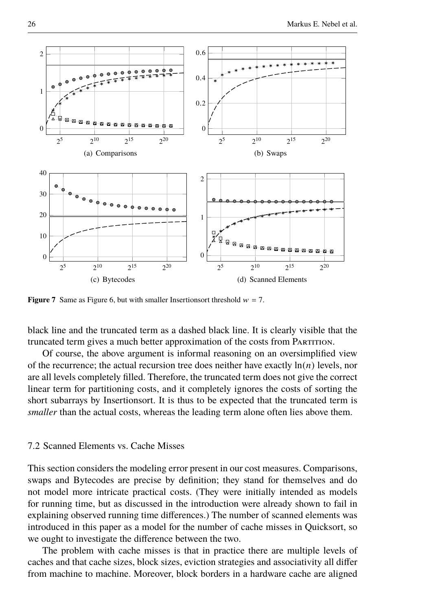

<span id="page-25-1"></span>**Figure 7** Same as [Figure 6,](#page-24-0) but with smaller Insertions orthreshold  $w = 7$ .

black line and the truncated term as a dashed black line. It is clearly visible that the truncated term gives a much better approximation of the costs from PARTITION.

Of course, the above argument is informal reasoning on an oversimplified view of the recurrence; the actual recursion tree does neither have exactly  $\ln(n)$  levels, nor are all levels completely filled. Therefore, the truncated term does not give the correct linear term for partitioning costs, and it completely ignores the costs of sorting the short subarrays by Insertionsort. It is thus to be expected that the truncated term is *smaller* than the actual costs, whereas the leading term alone often lies above them.

# <span id="page-25-0"></span>7.2 Scanned Elements vs. Cache Misses

This section considers the modeling error present in our cost measures. Comparisons, swaps and Bytecodes are precise by definition; they stand for themselves and do not model more intricate practical costs. (They were initially intended as models for running time, but as discussed in the introduction were already shown to fail in explaining observed running time differences.) The number of scanned elements was introduced in this paper as a model for the number of cache misses in Quicksort, so we ought to investigate the difference between the two.

The problem with cache misses is that in practice there are multiple levels of caches and that cache sizes, block sizes, eviction strategies and associativity all differ from machine to machine. Moreover, block borders in a hardware cache are aligned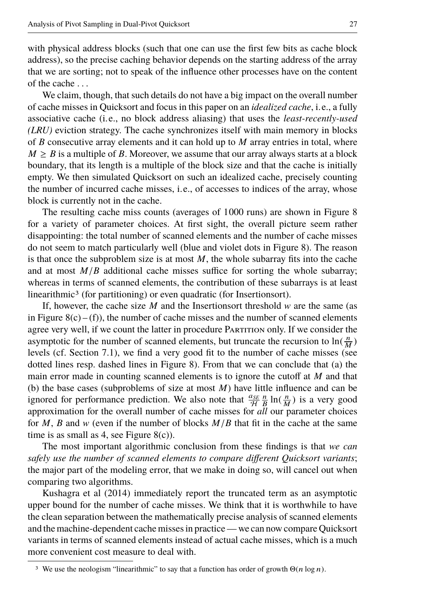with physical address blocks (such that one can use the first few bits as cache block address), so the precise caching behavior depends on the starting address of the array that we are sorting; not to speak of the influence other processes have on the content of the cache . . .

We claim, though, that such details do not have a big impact on the overall number of cache misses in Quicksort and focus in this paper on an *idealized cache*, i.e., a fully associative cache (i.e., no block address aliasing) that uses the *least-recently-used (LRU)* eviction strategy. The cache synchronizes itself with main memory in blocks of *B* consecutive array elements and it can hold up to *M* array entries in total, where  $M \geq B$  is a multiple of B. Moreover, we assume that our array always starts at a block boundary, that its length is a multiple of the block size and that the cache is initially empty. We then simulated Quicksort on such an idealized cache, precisely counting the number of incurred cache misses, i.e., of accesses to indices of the array, whose block is currently not in the cache.

The resulting cache miss counts (averages of 1000 runs) are shown in [Figure 8](#page-27-0) for a variety of parameter choices. At first sight, the overall picture seem rather disappointing: the total number of scanned elements and the number of cache misses do not seem to match particularly well (blue and violet dots in [Figure 8\)](#page-27-0). The reason is that once the subproblem size is at most  $M$ , the whole subarray fits into the cache and at most  $M/B$  additional cache misses suffice for sorting the whole subarray; whereas in terms of scanned elements, the contribution of these subarrays is at least linearithmic<sup>[3](#page-26-0)</sup> (for partitioning) or even quadratic (for Insertionsort).

If, however, the cache size  $M$  and the Insertionsort threshold  $w$  are the same (as in Figure  $8(c) - (f)$ , the number of cache misses and the number of scanned elements agree very well, if we count the latter in procedure PARTITION only. If we consider the asymptotic for the number of scanned elements, but truncate the recursion to  $\ln(\frac{n}{M})$ levels (cf. [Section 7.1\)](#page-23-0), we find a very good fit to the number of cache misses (see dotted lines resp. dashed lines in [Figure 8\)](#page-27-0). From that we can conclude that (a) the main error made in counting scanned elements is to ignore the cutoff at *M* and that (b) the base cases (subproblems of size at most *M*) have little influence and can be ignored for performance prediction. We also note that  $\frac{a_{SE}}{H} \frac{n}{B} \ln(\frac{n}{M})$  is a very good approximation for the overall number of cache misses for *all* our parameter choices for *M*, *B* and *w* (even if the number of blocks  $M/B$  that fit in the cache at the same time is as small as 4, see Figure  $8(c)$ ).

The most important algorithmic conclusion from these findings is that *we can safely use the number of scanned elements to compare different Quicksort variants*; the major part of the modeling error, that we make in doing so, will cancel out when comparing two algorithms.

[Kushagra et al](#page-38-3) [\(2014\)](#page-38-3) immediately report the truncated term as an asymptotic upper bound for the number of cache misses. We think that it is worthwhile to have the clean separation between the mathematically precise analysis of scanned elements and the machine-dependent cache misses in practice — we can now compare Quicksort variants in terms of scanned elements instead of actual cache misses, which is a much more convenient cost measure to deal with.

<span id="page-26-0"></span><sup>&</sup>lt;sup>3</sup> We use the neologism "linearithmic" to say that a function has order of growth  $\Theta(n \log n)$ .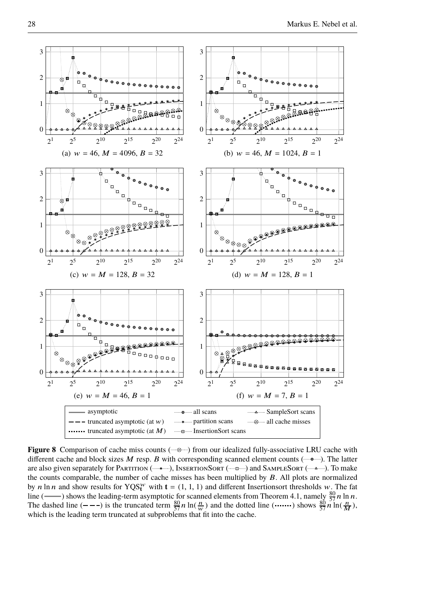

<span id="page-27-2"></span><span id="page-27-1"></span><span id="page-27-0"></span>**Figure 8** Comparison of cache miss counts ( $\rightarrow$ [\)](#page-0-0) from our idealized fully-associative LRU cache with different cache and block sizes  $M$  resp.  $B$  with corresponding scanned element counts [\(](#page-0-0) $\text{---}$ ). The latter are also given separately for PARTITION ( $\rightarrow$ , INSERTIONSORT ( $\rightarrow$ a $\rightarrow$ [\)](#page-0-0) and SAMPLESORT ( $\rightarrow$ ...). To make the counts comparable, the number of cache misses has been multiplied by  $B$ . All plots are normalized by n ln n and show results for  $YQS_t^w$  with  $t = (1, 1, 1)$  and different Insertionsort thresholds w. The fat line (——[\)](#page-0-0) shows the leading-term asymptotic for scanned elements from [Theorem 4.1,](#page-12-2) namely  $\frac{80}{57}n \ln n$ . The dashed line  $(- - -)$  is the truncated term  $\frac{80}{57}n \ln(\frac{n}{w})$  and the dotted line  $(\cdots)$  shows  $\frac{80}{57}n \ln(\frac{n}{M})$ , which is the lead[ing term](#page-0-0) truncated at subproblems that fit into the cache.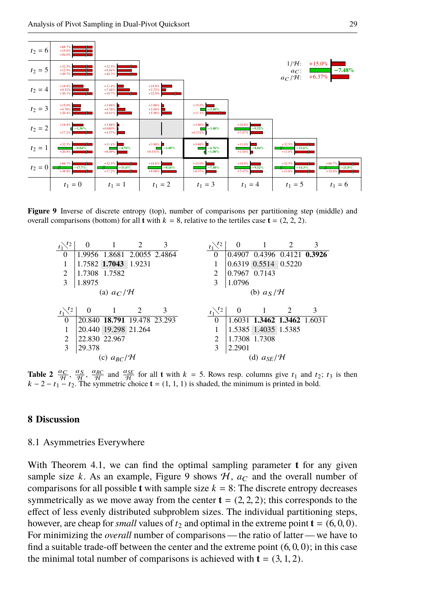

**Figure 9** Inverse of discrete entropy (top), number of comparisons per partitioning step (middle) and overall comparisons (bottom) for all **t** with  $k = 8$ , relative to the tertiles case **t** = (2, 2, 2).

<span id="page-28-1"></span>

<span id="page-28-2"></span>**Table 2**  $\frac{a_C}{\mathcal{H}}$ ,  $\frac{a_S}{\mathcal{H}}$  and  $\frac{a_{SE}}{\mathcal{H}}$  for all **t** with  $k = 5$ . Rows resp. columns give  $t_1$  and  $t_2$ ;  $t_3$  is then  $k - 2 - t_1 - t_2$ . The symmetric choice  $t = (1, 1, 1)$  is shaded, the minimum is printed in bold.

#### <span id="page-28-0"></span>**8 Discussion**

#### 8.1 Asymmetries Everywhere

With [Theorem 4.1,](#page-12-2) we can find the optimal sampling parameter **t** for any given sample size *k*. As an example, [Figure 9](#page-28-1) shows  $H$ ,  $a<sub>C</sub>$  and the overall number of comparisons for all possible **t** with sample size  $k = 8$ : The discrete entropy decreases symmetrically as we move away from the center  $\mathbf{t} = (2, 2, 2)$ ; this corresponds to the effect of less evenly distributed subproblem sizes. The individual partitioning steps, however, are cheap for *small* values of  $t_2$  and optimal in the extreme point  $\mathbf{t} = (6, 0, 0)$ . For minimizing the *overall* number of comparisons— the ratio of latter — we have to find a suitable trade-off between the center and the extreme point  $(6, 0, 0)$ ; in this case the minimal total number of comparisons is achieved with  $t = (3, 1, 2)$ .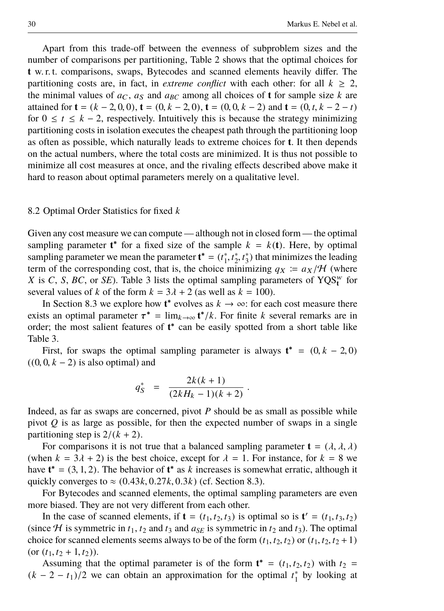Apart from this trade-off between the evenness of subproblem sizes and the number of comparisons per partitioning, [Table 2](#page-28-2) shows that the optimal choices for **t** w. r. t. comparisons, swaps, Bytecodes and scanned elements heavily differ. The partitioning costs are, in fact, in *extreme conflict* with each other: for all  $k \geq 2$ , the minimal values of  $a<sub>C</sub>$ ,  $a<sub>S</sub>$  and  $a<sub>BC</sub>$  among all choices of **t** for sample size *k* are attained for  $\mathbf{t} = (k - 2, 0, 0), \mathbf{t} = (0, k - 2, 0), \mathbf{t} = (0, 0, k - 2)$  and  $\mathbf{t} = (0, t, k - 2 - t)$ for  $0 \le t \le k - 2$ , respectively. Intuitively this is because the strategy minimizing partitioning costs in isolation executes the cheapest path through the partitioning loop as often as possible, which naturally leads to extreme choices for **t**. It then depends on the actual numbers, where the total costs are minimized. It is thus not possible to minimize all cost measures at once, and the rivaling effects described above make it hard to reason about optimal parameters merely on a qualitative level.

#### 8.2 Optimal Order Statistics for fixed *k*

Given any cost measure we can compute — although not in closed form— the optimal sampling parameter  $t^*$  for a fixed size of the sample  $k = k(t)$ . Here, by optimal sampling parameter we mean the parameter  $\mathbf{t}^* = (t_1^*, t_2^*, t_3^*)$  that minimizes the leading<br>term of the corresponding cost, that is, the choice minimizing  $g_N := g_N / H$  (where term of the corresponding cost, that is, the choice minimizing  $q_X = a_X/H$  (where *X* is *C*, *S*, *BC*, or *SE*). Table [3](#page-30-0) lists the optimal sampling parameters of  $YQS_t^w$  for several values of *k* of the form  $k = 3\lambda + 2$  (as well as  $k = 100$ ).

In [Section 8.3](#page-31-0) we explore how  $t^*$  evolves as  $k \to \infty$ : for each cost measure there exists an optimal parameter  $\tau^* = \lim_{k \to \infty} t^*/k$ . For finite *k* several remarks are in order: the most salient features of  $t^*$  can be easily spotted from a short table like order; the most salient features of **t** ∗ can be easily spotted from a short table like [Table 3.](#page-30-0)

First, for swaps the optimal sampling parameter is always  $\mathbf{t}^* = (0, k - 2, 0)$ <br>0  $k = 2$ ) is also optimal) and  $((0, 0, k - 2)$  is also optimal) and

$$
q_S^* = \frac{2k(k+1)}{(2kH_k - 1)(k+2)}.
$$

Indeed, as far as swaps are concerned, pivot *P* should be as small as possible while pivot  $Q$  is as large as possible, for then the expected number of swaps in a single partitioning step is  $2/(k + 2)$ .

For comparisons it is not true that a balanced sampling parameter  $\mathbf{t} = (\lambda, \lambda, \lambda)$ (when  $k = 3\lambda + 2$ ) is the best choice, except for  $\lambda = 1$ . For instance, for  $k = 8$  we have  $\mathbf{t}^* = (3, 1, 2)$ . The behavior of  $\mathbf{t}^*$  as *k* increases is somewhat erratic, although it quickly converges to  $\approx (0.43k, 0.27k, 0.3k)$  (cf. Section 8.3). quickly converges to  $\approx$  (0.43*k*, 0.27*k*, 0.3*k*) (cf. [Section 8.3\)](#page-31-0).

For Bytecodes and scanned elements, the optimal sampling parameters are even more biased. They are not very different from each other.

In the case of scanned elements, if  $\mathbf{t} = (t_1, t_2, t_3)$  is optimal so is  $\mathbf{t}' = (t_1, t_3, t_2)$ <br>ce H is symmetric in  $t_1$ ,  $t_2$  and  $t_3$  and  $g_{\text{cr}}$  is symmetric in  $t_2$  and  $t_3$ ). The optimal (since  $H$  is symmetric in  $t_1$ ,  $t_2$  and  $t_3$  and  $a_{SE}$  is symmetric in  $t_2$  and  $t_3$ ). The optimal choice for scanned elements seems always to be of the form  $(t_1, t_2, t_2)$  or  $(t_1, t_2, t_2 + 1)$  $(\text{or } (t_1, t_2 + 1, t_2)).$ 

Assuming that the optimal parameter is of the form  $\mathbf{t}^* = (t_1, t_2, t_2)$  with  $t_2 =$ <br> $(2 - t_1)/2$  we can obtain an approximation for the optimal  $t^*$  by looking at  $(k - 2 - t_1)/2$  we can obtain an approximation for the optimal  $t_1^*$  by looking at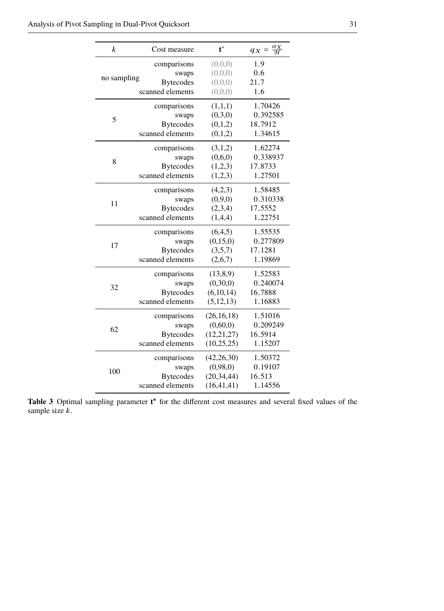| k           | Cost measure     | $t^*$        | $\frac{a_X}{\mathcal{H}}$<br>$qX =$ |
|-------------|------------------|--------------|-------------------------------------|
|             | comparisons      | (0,0,0)      | 1.9                                 |
| no sampling | swaps            | (0,0,0)      | 0.6                                 |
|             | <b>Bytecodes</b> | (0,0,0)      | 21.7                                |
|             | scanned elements | (0,0,0)      | 1.6                                 |
|             | comparisons      | (1,1,1)      | 1.70426                             |
| 5           | swaps            | (0,3,0)      | 0.392585                            |
|             | <b>Bytecodes</b> | (0,1,2)      | 18.7912                             |
|             | scanned elements | (0,1,2)      | 1.34615                             |
|             | comparisons      | (3,1,2)      | 1.62274                             |
| 8           | swaps            | (0,6,0)      | 0.338937                            |
|             | <b>Bytecodes</b> | (1,2,3)      | 17.8733                             |
|             | scanned elements | (1,2,3)      | 1.27501                             |
|             | comparisons      | (4,2,3)      | 1.58485                             |
| 11          | swaps            | (0, 9, 0)    | 0.310338                            |
|             | <b>Bytecodes</b> | (2,3,4)      | 17.5552                             |
|             | scanned elements | (1,4,4)      | 1.22751                             |
|             | comparisons      | (6,4,5)      | 1.55535                             |
| 17          | swaps            | (0, 15, 0)   | 0.277809                            |
|             | <b>Bytecodes</b> | (3,5,7)      | 17.1281                             |
|             | scanned elements | (2,6,7)      | 1.19869                             |
|             | comparisons      | (13,8,9)     | 1.52583                             |
| 32          | swaps            | (0,30,0)     | 0.240074                            |
|             | <b>Bytecodes</b> | (6,10,14)    | 16.7888                             |
|             | scanned elements | (5, 12, 13)  | 1.16883                             |
|             | comparisons      | (26, 16, 18) | 1.51016                             |
| 62          | swaps            | (0,60,0)     | 0.209249                            |
|             | <b>Bytecodes</b> | (12, 21, 27) | 16.5914                             |
|             | scanned elements | (10, 25, 25) | 1.15207                             |
|             | comparisons      | (42, 26, 30) | 1.50372                             |
| 100         | swaps            | (0.98.0)     | 0.19107                             |
|             | <b>Bytecodes</b> | (20, 34, 44) | 16.513                              |
|             | scanned elements | (16, 41, 41) | 1.14556                             |

<span id="page-30-0"></span>Table 3 Optimal sampling parameter t<sup>\*</sup> for the different cost measures and several fixed values of the sample size  $k$ .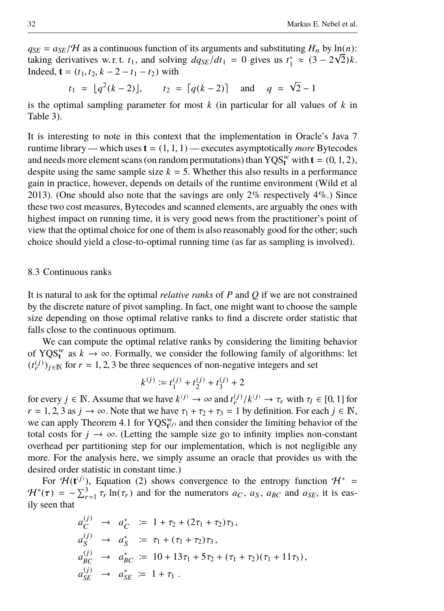$q_{SE} = a_{SE}/H$  as a continuous function of its arguments and substituting *H<sub>n</sub>* by ln(*n*):<br>  $q_{SE} = a_{SE}/H$  as a continuous function  $d_{GEN}/dt_1 = 0$  gives us  $t^* \approx (3 - 2\sqrt{2})k$ taking derivatives w. r. t.  $t_1$ , and solving  $dq_{SE}/dt_1 = 0$  gives us  $t_1^* \approx (3 - 2\sqrt{2})k$ .<br>Indeed  $t = (t_1, t_2, k - 2 - t_1 - t_2)$  with Indeed,  $\mathbf{t} = (t_1, t_2, k - 2 - t_1 - t_2)$  with

$$
t_1 = \lfloor q^2(k-2) \rfloor
$$
,  $t_2 = \lceil q(k-2) \rceil$  and  $q = \sqrt{2} - 1$ 

is the optimal sampling parameter for most *k* (in particular for all values of *k* in [Table 3\)](#page-30-0).

It is interesting to note in this context that the implementation in Oracle's Java 7 runtime library — which uses  $\mathbf{t} = (1, 1, 1)$  — executes asymptotically *more* Bytecodes and needs more element scans (on random permutations) than  $YQS_t^w$  with  $t = (0, 1, 2)$ , despite using the same sample size  $k - 5$ . Whether this also results in a performance despite using the same sample size  $k = 5$ . Whether this also results in a performance gain in practice, however, depends on details of the runtime environment [\(Wild et al](#page-39-6) [2013\)](#page-39-6). (One should also note that the savings are only  $2\%$  respectively  $4\%$ .) Since these two cost measures, Bytecodes and scanned elements, are arguably the ones with highest impact on running time, it is very good news from the practitioner's point of view that the optimal choice for one of them is also reasonably good for the other; such choice should yield a close-to-optimal running time (as far as sampling is involved).

#### <span id="page-31-0"></span>8.3 Continuous ranks

It is natural to ask for the optimal *relative ranks* of *P* and *Q* if we are not constrained by the discrete nature of pivot sampling. In fact, one might want to choose the sample size depending on those optimal relative ranks to find a discrete order statistic that falls close to the continuous optimum.

We can compute the optimal relative ranks by considering the limiting behavior of YQS<sup>*w*</sup> as  $k \to \infty$ . Formally, we consider the following family of algorithms: let  $(t_r^{(j)})_{j \in \mathbb{N}}$  for  $r = 1, 2, 3$  be three sequences of non-negative integers and set

$$
k^{(j)} \coloneqq t_1^{(j)} + t_2^{(j)} + t_3^{(j)} + 2
$$

for every  $j \in \mathbb{N}$ . Assume that we have  $k^{(j)} \to \infty$  and  $t^{(j)}_k / k^{(j)} \to \tau_r$  with  $\tau_l \in [0, 1]$  for  $r = 1, 2, 3, 3, \text{if } \to \infty$ . Note that we have  $\tau_r + \tau_s + \tau_s = 1$  by definition. For each  $j \in \mathbb{N}$  $r = 1, 2, 3$  as  $j \to \infty$ . Note that we have  $\tau_1 + \tau_2 + \tau_3 = 1$  by definition. For each  $j \in \mathbb{N}$ , we can apply [Theorem 4.1](#page-12-2) for  $YQS_{t}^{w}$  and then consider the limiting behavior of the total costs for  $j \to \infty$ . (Letting the sample size go to infinity implies non-constant overhead per partitioning step for our implementation, which is not negligible any more. For the analysis here, we simply assume an oracle that provides us with the desired order statistic in constant time.)

For  $\mathcal{H}(\mathbf{t}^{(j)})$ , [Equation \(2\)](#page-12-1) shows convergence to the entropy function  $\mathcal{H}^*$  =  $\mathcal{H}^*(\tau) = -\sum_{r=1}^3 \tau_r \ln(\tau_r)$  and for the numerators  $a_C$ ,  $a_S$ ,  $a_{BC}$  and  $a_{SE}$ , it is eas-<br>ily seen that ily seen that

$$
a_C^{(j)} \rightarrow a_C^* := 1 + \tau_2 + (2\tau_1 + \tau_2)\tau_3,
$$
  
\n
$$
a_S^{(j)} \rightarrow a_S^* := \tau_1 + (\tau_1 + \tau_2)\tau_3,
$$
  
\n
$$
a_{BC}^{(j)} \rightarrow a_{BC}^* := 10 + 13\tau_1 + 5\tau_2 + (\tau_1 + \tau_2)(\tau_1 + 11\tau_3),
$$
  
\n
$$
a_{SE}^{(j)} \rightarrow a_{SE}^* := 1 + \tau_1.
$$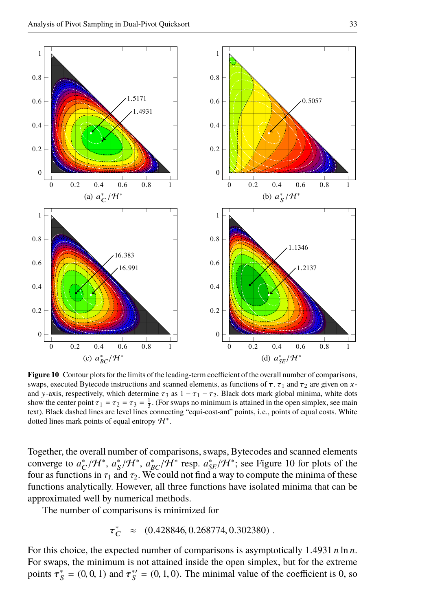

<span id="page-32-0"></span>**Figure 10** Contour plots for the limits of the leading-term coefficient of the overall number of comparisons, swaps, executed Bytecode instructions and scanned elements, as functions of  $\tau$ .  $\tau_1$  and  $\tau_2$  are given on xand y-axis, respectively, which determine  $\tau_3$  as  $1 - \tau_1 - \tau_2$ . Black dots mark global minima, white dots show the center point  $\tau_1 = \tau_2 = \tau_3 = \frac{1}{3}$ . (For swaps no minimum is attained in the open simplex, see main text). Black dashed lines are level lines connecting "equi-cost-ant" points, i.e., points of equal costs. White dotted lines mark points of equal entropy  $H^*$ .

Together, the overall number of comparisons, swaps, Bytecodes and scanned elements converge to  $a_C^*/H^*$ ,  $a_S^*/H^*$ ,  $a_{BC}^*/H^*$  resp.  $a_{SE}^*/H^*$ ; see [Figure 10](#page-32-0) for plots of the four as functions in  $\tau$ , and  $\tau$ . We could not find a way to compute the minima of these four as functions in  $\tau_1$  and  $\tau_2$ . We could not find a way to compute the minima of these functions analytically. However, all three functions have isolated minima that can be approximated well by numerical methods.

The number of comparisons is minimized for

$$
\tau_C^* \approx (0.428846, 0.268774, 0.302380) .
$$

For this choice, the expected number of comparisons is asymptotically 1.<sup>4931</sup> *<sup>n</sup>* ln *<sup>n</sup>*. For swaps, the minimum is not attained inside the open simplex, but for the extreme points  $\tau_S^* = (0, 0, 1)$  and  $\tau_S^{*'} = (0, 1, 0)$ . The minimal value of the coefficient is 0, so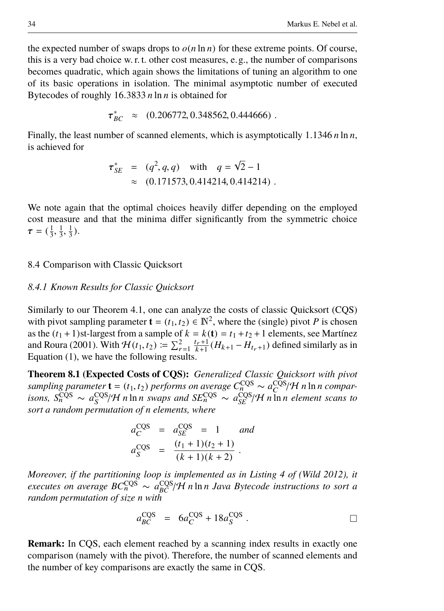the expected number of swaps drops to  $o(n \ln n)$  for these extreme points. Of course, this is a very bad choice w. r. t. other cost measures, e.g., the number of comparisons becomes quadratic, which again shows the limitations of tuning an algorithm to one of its basic operations in isolation. The minimal asymptotic number of executed Bytecodes of roughly 16.<sup>3833</sup> *<sup>n</sup>* ln *<sup>n</sup>* is obtained for

$$
\tau_{BC}^* \approx (0.206772, 0.348562, 0.444666).
$$

Finally, the least number of scanned elements, which is asymptotically 1.<sup>1346</sup> *<sup>n</sup>* ln *<sup>n</sup>*, is achieved for

$$
\tau_{SE}^* = (q^2, q, q) \quad \text{with} \quad q = \sqrt{2} - 1
$$
  
 
$$
\approx (0.171573, 0.414214, 0.414214).
$$

We note again that the optimal choices heavily differ depending on the employed cost measure and that the minima differ significantly from the symmetric choice  $\tau = (\frac{1}{3},$  $\frac{1}{3}$ ,  $\frac{1}{3}$ ).

# 8.4 Comparison with Classic Quicksort

## *8.4.1 Known Results for Classic Quicksort*

Similarly to our [Theorem 4.1,](#page-12-2) one can analyze the costs of classic Quicksort (CQS) with pivot sampling parameter  $\mathbf{t} = (t_1, t_2) \in \mathbb{N}^2$ , where the (single) pivot *P* is chosen<br>as the  $(t_1 + 1)$ st-largest from a sample of  $k = k(t) - t_1 + t_2 + 1$  elements, see Martínez as the  $(t_1 + 1)$ st-largest from a sample of  $k = k(t) = t_1 + t_2 + 1$  elements, see [Martínez](#page-39-5) [and Roura](#page-39-5) [\(2001\)](#page-39-5). With  $H(t_1, t_2) := \sum_{r=1}^{2} \frac{t_r+1}{k+1} (H_{k+1} - H_{t_r+1})$  defined similarly as in [Equation \(1\),](#page-12-3) we have the following results.

**Theorem 8.1 (Expected Costs of CQS):** *Generalized Classic Quicksort with pivot* sampling parameter **t** = ( $t_1, t_2$ ) performs on average  $C_n^{\text{CQS}} \sim a_C^{\text{CQS}}/\mathcal{H}$  n ln n compar-<br>isons,  $S_n^{\text{CQS}} \sim a_S^{\text{CQS}}/\mathcal{H}$  n ln n swaps and  $SE_n^{\text{CQS}} \sim a_{SE}^{\text{CQS}}/\mathcal{H}$  n ln n element scans to<br>sort a rando *sort a random permutation of n elements, where*

$$
a_C^{\text{CQS}} = a_{SE}^{\text{CQS}} = 1 \quad \text{and} \\ a_S^{\text{CQS}} = \frac{(t_1 + 1)(t_2 + 1)}{(k + 1)(k + 2)}.
$$

*Moreover, if the partitioning loop is implemented as in Listing 4 of [\(Wild 2012\)](#page-39-7), it executes on average*  $BC_n^{\text{CQS}} \sim a_{BC}^{\text{CQS}}/H n \ln n$  *Java Bytecode instructions to sort a*<br>random permutation of size *n* with *random permutation of size n with*

$$
a_{BC}^{\text{CQS}} = 6a_C^{\text{CQS}} + 18a_S^{\text{CQS}}.
$$

**Remark:** In CQS, each element reached by a scanning index results in exactly one comparison (namely with the pivot). Therefore, the number of scanned elements and the number of key comparisons are exactly the same in CQS.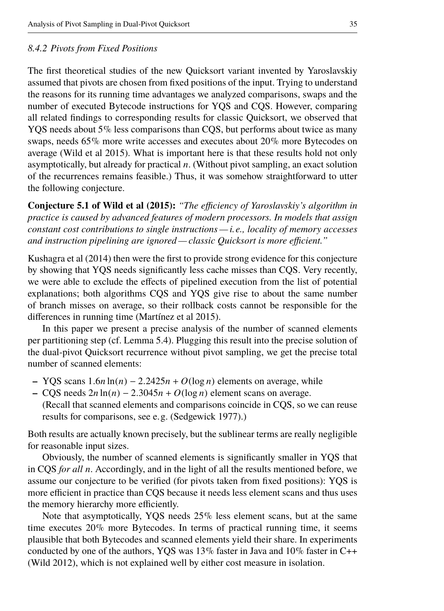## <span id="page-34-0"></span>*8.4.2 Pivots from Fixed Positions*

The first theoretical studies of the new Quicksort variant invented by Yaroslavskiy assumed that pivots are chosen from fixed positions of the input. Trying to understand the reasons for its running time advantages we analyzed comparisons, swaps and the number of executed Bytecode instructions for YQS and CQS. However, comparing all related findings to corresponding results for classic Quicksort, we observed that YQS needs about 5% less comparisons than CQS, but performs about twice as many swaps, needs 65% more write accesses and executes about 20% more Bytecodes on average [\(Wild et al 2015\)](#page-39-4). What is important here is that these results hold not only asymptotically, but already for practical *n*. (Without pivot sampling, an exact solution of the recurrences remains feasible.) Thus, it was somehow straightforward to utter the following conjecture.

**Conjecture 5.1 of [Wild et al](#page-39-4) [\(2015\)](#page-39-4):** *"The efficiency of Yaroslavskiy's algorithm in practice is caused by advanced features of modern processors. In models that assign constant cost contributions to single instructions — i.e., locality of memory accesses and instruction pipelining are ignored — classic Quicksort is more efficient."*

[Kushagra et al](#page-38-3) [\(2014\)](#page-38-3) then were the first to provide strong evidence for this conjecture by showing that YQS needs significantly less cache misses than CQS. Very recently, we were able to exclude the effects of pipelined execution from the list of potential explanations; both algorithms CQS and YQS give rise to about the same number of branch misses on average, so their rollback costs cannot be responsible for the differences in running time [\(Martínez et al 2015\)](#page-39-9).

In this paper we present a precise analysis of the number of scanned elements per partitioning step (cf. [Lemma 5.4\)](#page-18-1). Plugging this result into the precise solution of the dual-pivot Quicksort recurrence without pivot sampling, we get the precise total number of scanned elements:

- **–** YQS scans 1.6*<sup>n</sup>* ln(*n*) <sup>−</sup> <sup>2</sup>.2425*<sup>n</sup>* <sup>+</sup> *<sup>O</sup>*(log *<sup>n</sup>*) elements on average, while
- **–** CQS needs 2*<sup>n</sup>* ln(*n*) <sup>−</sup> <sup>2</sup>.3045*<sup>n</sup>* <sup>+</sup> *<sup>O</sup>*(log *<sup>n</sup>*) element scans on average. (Recall that scanned elements and comparisons coincide in CQS, so we can reuse results for comparisons, see e.g. [\(Sedgewick 1977\)](#page-39-11).)

Both results are actually known precisely, but the sublinear terms are really negligible for reasonable input sizes.

Obviously, the number of scanned elements is significantly smaller in YQS that in CQS *for all n*. Accordingly, and in the light of all the results mentioned before, we assume our conjecture to be verified (for pivots taken from fixed positions): YQS is more efficient in practice than CQS because it needs less element scans and thus uses the memory hierarchy more efficiently.

Note that asymptotically, YQS needs 25% less element scans, but at the same time executes 20% more Bytecodes. In terms of practical running time, it seems plausible that both Bytecodes and scanned elements yield their share. In experiments conducted by one of the authors, YQS was  $13\%$  faster in Java and  $10\%$  faster in C++ [\(Wild 2012\)](#page-39-7), which is not explained well by either cost measure in isolation.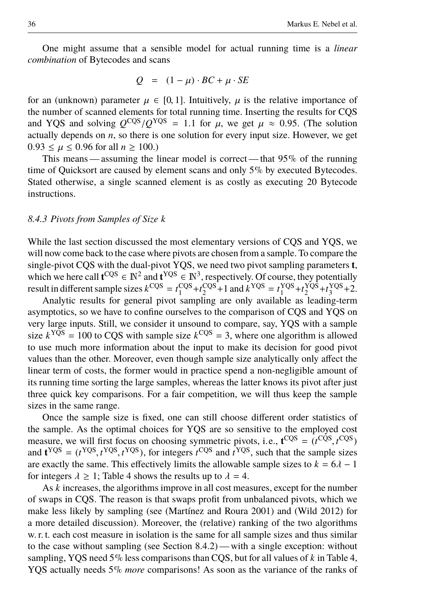One might assume that a sensible model for actual running time is a *linear combination* of Bytecodes and scans

$$
Q = (1 - \mu) \cdot BC + \mu \cdot SE
$$

for an (unknown) parameter  $\mu \in [0, 1]$ . Intuitively,  $\mu$  is the relative importance of the number of scanned elements for total running time. Inserting the results for CQS and YQS and solving  $Q^{CQS}/Q^{YQS} = 1.1$  for  $\mu$ , we get  $\mu \approx 0.95$ . (The solution actually depends on *n*, so there is one solution for every input size. However, we get actually depends on  $n$ , so there is one solution for every input size. However, we get  $0.93 \le \mu \le 0.96$  for all  $n \ge 100$ .)

This means — assuming the linear model is correct — that  $95\%$  of the running time of Quicksort are caused by element scans and only 5% by executed Bytecodes. Stated otherwise, a single scanned element is as costly as executing 20 Bytecode instructions.

## *8.4.3 Pivots from Samples of Size k*

While the last section discussed the most elementary versions of CQS and YQS, we will now come back to the case where pivots are chosen from a sample. To compare the single-pivot CQS with the dual-pivot YQS, we need two pivot sampling parameters **t**, which we here call  $\mathbf{t}^{\text{CQS}} \in \mathbb{N}^2$  and  $\mathbf{t}^{\text{YQS}} \in \mathbb{N}^3$ , respectively. Of course, they potentially result in different sample sizes  $k^{\text{CQS}} = t_1^{\text{CQS}} + t_2^{\text{CQS}} + 1$  and  $k^{\text{YQS}} = t_1^{\text{YQS}} + t_2^{\text{YQS}} + t_3^{\text{YQS}} + 2$ .

Analytic results for general pivot sampling are only available as leading-term asymptotics, so we have to confine ourselves to the comparison of CQS and YQS on very large inputs. Still, we consider it unsound to compare, say, YQS with a sample size  $k<sup>YQS</sup> = 100$  to CQS with sample size  $k<sup>CQS</sup> = 3$ , where one algorithm is allowed to use much more information about the input to make its decision for good pivot values than the other. Moreover, even though sample size analytically only affect the linear term of costs, the former would in practice spend a non-negligible amount of its running time sorting the large samples, whereas the latter knows its pivot after just three quick key comparisons. For a fair competition, we will thus keep the sample sizes in the same range.

Once the sample size is fixed, one can still choose different order statistics of the sample. As the optimal choices for YQS are so sensitive to the employed cost measure, we will first focus on choosing symmetric pivots, i.e.,  $\mathbf{t}^{\text{CQS}} = (t^{\text{CQS}}, t^{\text{CQS}})$ <br>and  $\mathbf{t}^{\text{YQS}} = (t^{\text{YQS}}, t^{\text{YQS}})$  for integers  $t^{\text{CQS}}$  and  $t^{\text{YQS}}$  such that the sample sizes and  $\mathbf{t}^{YQS} = (t^{YQS}, t^{YQS}, t^{YQS})$ , for integers  $t^{CQS}$  and  $t^{YQS}$ , such that the sample sizes are exactly the same. This effectively limits the allowable sample sizes to  $k - 6\lambda - 1$ are exactly the same. This effectively limits the allowable sample sizes to  $k = 6\lambda - 1$ for integers  $\lambda \geq 1$ ; [Table 4](#page-36-0) shows the results up to  $\lambda = 4$ .

As *k* increases, the algorithms improve in all cost measures, except for the number of swaps in CQS. The reason is that swaps profit from unbalanced pivots, which we make less likely by sampling (see [\(Martínez and Roura 2001\)](#page-39-5) and [\(Wild 2012\)](#page-39-7) for a more detailed discussion). Moreover, the (relative) ranking of the two algorithms w. r. t. each cost measure in isolation is the same for all sample sizes and thus similar to the case without sampling (see [Section 8.4.2\)](#page-34-0)— with a single exception: without sampling, YQS need 5% less comparisons than CQS, but for all values of *k* in [Table 4,](#page-36-0) YQS actually needs 5% *more* comparisons! As soon as the variance of the ranks of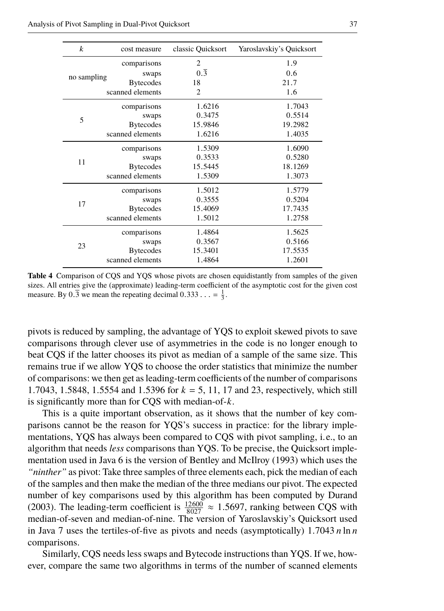pivots is reduced by sampling, the advantage of YQS to exploit skewed pivots to save comparisons through clever use of asymmetries in the code is no longer enough to beat CQS if the latter chooses its pivot as median of a sample of the same size. This remains true if we allow YQS to choose the order statistics that minimize the number of comparisons: we then get as leading-term coefficients of the number of comparisons <sup>1</sup>.7043, 1.5848, 1.5554 and 1.5396 for *<sup>k</sup>* <sup>=</sup> 5, 11, 17 and 23, respectively, which still is significantly more than for CQS with median-of-*k*.

This is a quite important observation, as it shows that the number of key comparisons cannot be the reason for YQS's success in practice: for the library implementations, YQS has always been compared to CQS with pivot sampling, i.e., to an algorithm that needs *less* comparisons than YQS. To be precise, the Quicksort implementation used in Java 6 is the version of [Bentley and McIlroy](#page-38-0) [\(1993\)](#page-38-0) which uses the *"ninther"* as pivot: Take three samples of three elements each, pick the median of each of the samples and then make the median of the three medians our pivot. The expected number of key comparisons used by this algorithm has been computed by [Durand](#page-38-12) [\(2003\)](#page-38-12). The leading-term coefficient is  $\frac{12600}{8027} \approx 1.5697$ , ranking between CQS with median-of-seven and median-of-nine. The version of Varoslavskiv's Quicksort used median-of-seven and median-of-nine. The version of Yaroslavskiy's Quicksort used in Java 7 uses the tertiles-of-five as pivots and needs (asymptotically) 1.<sup>7043</sup> *<sup>n</sup>* ln *<sup>n</sup>* comparisons.

Similarly, CQS needs less swaps and Bytecode instructions than YQS. If we, however, compare the same two algorithms in terms of the number of scanned elements

#### Analysis of Pivot Sampling in Dual-Pivot Quicksort 37

| $\boldsymbol{k}$ | cost measure     | classic Quicksort | Yaroslavskiy's Quicksort |
|------------------|------------------|-------------------|--------------------------|
|                  | comparisons      | $\overline{c}$    | 1.9                      |
|                  | swaps            | $0.\overline{3}$  | 0.6                      |
| no sampling      | <b>Bytecodes</b> | 18                | 21.7                     |
|                  | scanned elements | $\overline{2}$    | 1.6                      |
|                  | comparisons      | 1.6216            | 1.7043                   |
| 5                | swaps            | 0.3475            | 0.5514                   |
|                  | <b>Bytecodes</b> | 15.9846           | 19.2982                  |
|                  | scanned elements | 1.6216            | 1.4035                   |
|                  | comparisons      | 1.5309            | 1.6090                   |
| 11               | swaps            | 0.3533            | 0.5280                   |
|                  | <b>Bytecodes</b> | 15.5445           | 18.1269                  |
|                  | scanned elements | 1.5309            | 1.3073                   |
|                  | comparisons      | 1.5012            | 1.5779                   |
| 17               | swaps            | 0.3555            | 0.5204                   |
|                  | <b>Bytecodes</b> | 15.4069           | 17.7435                  |
|                  | scanned elements | 1.5012            | 1.2758                   |
|                  | comparisons      | 1.4864            | 1.5625                   |
|                  | swaps            | 0.3567            | 0.5166                   |
| 23               | <b>Bytecodes</b> | 15.3401           | 17.5535                  |
|                  | scanned elements | 1.4864            | 1.2601                   |

<span id="page-36-0"></span>**Table 4** Comparison of CQS and YQS whose pivots are chosen equidistantly from samples of the given sizes. All entries give the (approximate) leading-term coefficient of the asymptotic cost for the given cost measure. By  $0.\overline{3}$  we mean the repeating decimal  $0.333... = \frac{1}{3}$ .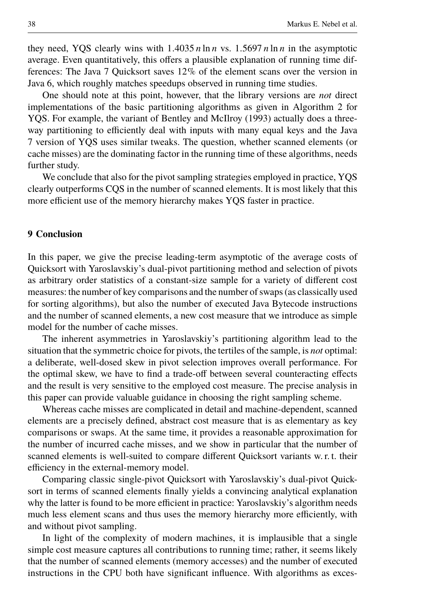they need, YOS clearly wins with  $1.4035 n \ln n$  vs.  $1.5697 n \ln n$  in the asymptotic average. Even quantitatively, this offers a plausible explanation of running time differences: The Java 7 Quicksort saves 12% of the element scans over the version in Java 6, which roughly matches speedups observed in running time studies.

One should note at this point, however, that the library versions are *not* direct implementations of the basic partitioning algorithms as given in [Algorithm 2](#page-10-0) for YQS. For example, the variant of [Bentley and McIlroy](#page-38-0) [\(1993\)](#page-38-0) actually does a threeway partitioning to efficiently deal with inputs with many equal keys and the Java 7 version of YQS uses similar tweaks. The question, whether scanned elements (or cache misses) are the dominating factor in the running time of these algorithms, needs further study.

We conclude that also for the pivot sampling strategies employed in practice, YQS clearly outperforms CQS in the number of scanned elements. It is most likely that this more efficient use of the memory hierarchy makes YQS faster in practice.

#### <span id="page-37-0"></span>**9 Conclusion**

In this paper, we give the precise leading-term asymptotic of the average costs of Quicksort with Yaroslavskiy's dual-pivot partitioning method and selection of pivots as arbitrary order statistics of a constant-size sample for a variety of different cost measures: the number of key comparisons and the number of swaps (as classically used for sorting algorithms), but also the number of executed Java Bytecode instructions and the number of scanned elements, a new cost measure that we introduce as simple model for the number of cache misses.

The inherent asymmetries in Yaroslavskiy's partitioning algorithm lead to the situation that the symmetric choice for pivots, the tertiles of the sample, is *not* optimal: a deliberate, well-dosed skew in pivot selection improves overall performance. For the optimal skew, we have to find a trade-off between several counteracting effects and the result is very sensitive to the employed cost measure. The precise analysis in this paper can provide valuable guidance in choosing the right sampling scheme.

Whereas cache misses are complicated in detail and machine-dependent, scanned elements are a precisely defined, abstract cost measure that is as elementary as key comparisons or swaps. At the same time, it provides a reasonable approximation for the number of incurred cache misses, and we show in particular that the number of scanned elements is well-suited to compare different Quicksort variants w. r. t. their efficiency in the external-memory model.

Comparing classic single-pivot Quicksort with Yaroslavskiy's dual-pivot Quicksort in terms of scanned elements finally yields a convincing analytical explanation why the latter is found to be more efficient in practice: Yaroslavskiy's algorithm needs much less element scans and thus uses the memory hierarchy more efficiently, with and without pivot sampling.

In light of the complexity of modern machines, it is implausible that a single simple cost measure captures all contributions to running time; rather, it seems likely that the number of scanned elements (memory accesses) and the number of executed instructions in the CPU both have significant influence. With algorithms as exces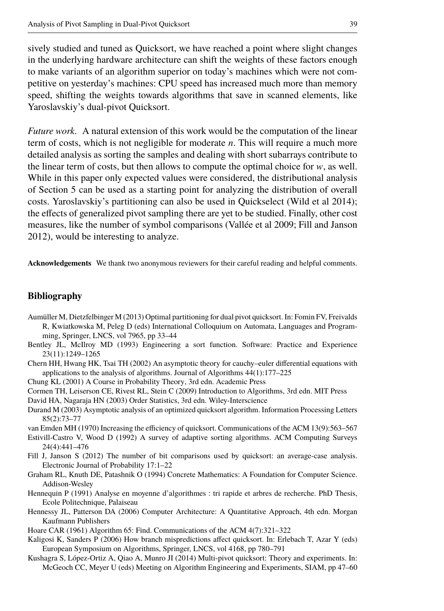sively studied and tuned as Quicksort, we have reached a point where slight changes in the underlying hardware architecture can shift the weights of these factors enough to make variants of an algorithm superior on today's machines which were not competitive on yesterday's machines: CPU speed has increased much more than memory speed, shifting the weights towards algorithms that save in scanned elements, like Yaroslavskiy's dual-pivot Quicksort.

*Future work.* A natural extension of this work would be the computation of the linear term of costs, which is not negligible for moderate *n*. This will require a much more detailed analysis as sorting the samples and dealing with short subarrays contribute to the linear term of costs, but then allows to compute the optimal choice for  $w$ , as well. While in this paper only expected values were considered, the distributional analysis of [Section 5](#page-13-0) can be used as a starting point for analyzing the distribution of overall costs. Yaroslavskiy's partitioning can also be used in Quickselect [\(Wild et al 2014\)](#page-39-15); the effects of generalized pivot sampling there are yet to be studied. Finally, other cost measures, like the number of symbol comparisons [\(Vallée et al 2009;](#page-39-16) [Fill and Janson](#page-38-13) [2012\)](#page-38-13), would be interesting to analyze.

**Acknowledgements** We thank two anonymous reviewers for their careful reading and helpful comments.

# **Bibliography**

- <span id="page-38-2"></span>Aumüller M, Dietzfelbinger M (2013) Optimal partitioning for dual pivot quicksort. In: Fomin FV, Freivalds R, Kwiatkowska M, Peleg D (eds) International Colloquium on Automata, Languages and Programming, Springer, LNCS, vol 7965, pp 33–44
- <span id="page-38-0"></span>Bentley JL, McIlroy MD (1993) Engineering a sort function. Software: Practice and Experience 23(11):1249–1265
- <span id="page-38-11"></span>Chern HH, Hwang HK, Tsai TH (2002) An asymptotic theory for cauchy–euler differential equations with applications to the analysis of algorithms. Journal of Algorithms 44(1):177–225
- <span id="page-38-8"></span>Chung KL (2001) A Course in Probability Theory, 3rd edn. Academic Press
- <span id="page-38-9"></span>Cormen TH, Leiserson CE, Rivest RL, Stein C (2009) Introduction to Algorithms, 3rd edn. MIT Press
- <span id="page-38-15"></span>David HA, Nagaraja HN (2003) Order Statistics, 3rd edn. Wiley-Interscience
- <span id="page-38-12"></span>Durand M (2003) Asymptotic analysis of an optimized quicksort algorithm. Information Processing Letters 85(2):73–77

<span id="page-38-10"></span>van Emden MH (1970) Increasing the efficiency of quicksort. Communications of the ACM 13(9):563–567

- <span id="page-38-7"></span>Estivill-Castro V, Wood D (1992) A survey of adaptive sorting algorithms. ACM Computing Surveys 24(4):441–476
- <span id="page-38-13"></span>Fill J, Janson S (2012) The number of bit comparisons used by quicksort: an average-case analysis. Electronic Journal of Probability 17:1–22
- <span id="page-38-14"></span>Graham RL, Knuth DE, Patashnik O (1994) Concrete Mathematics: A Foundation for Computer Science. Addison-Wesley
- <span id="page-38-1"></span>Hennequin P (1991) Analyse en moyenne d'algorithmes : tri rapide et arbres de recherche. PhD Thesis, Ecole Politechnique, Palaiseau
- <span id="page-38-5"></span>Hennessy JL, Patterson DA (2006) Computer Architecture: A Quantitative Approach, 4th edn. Morgan Kaufmann Publishers

<span id="page-38-6"></span>Hoare CAR (1961) Algorithm 65: Find. Communications of the ACM 4(7):321–322

- <span id="page-38-4"></span>Kaligosi K, Sanders P (2006) How branch mispredictions affect quicksort. In: Erlebach T, Azar Y (eds) European Symposium on Algorithms, Springer, LNCS, vol 4168, pp 780–791
- <span id="page-38-3"></span>Kushagra S, López-Ortiz A, Qiao A, Munro JI (2014) Multi-pivot quicksort: Theory and experiments. In: McGeoch CC, Meyer U (eds) Meeting on Algorithm Engineering and Experiments, SIAM, pp 47–60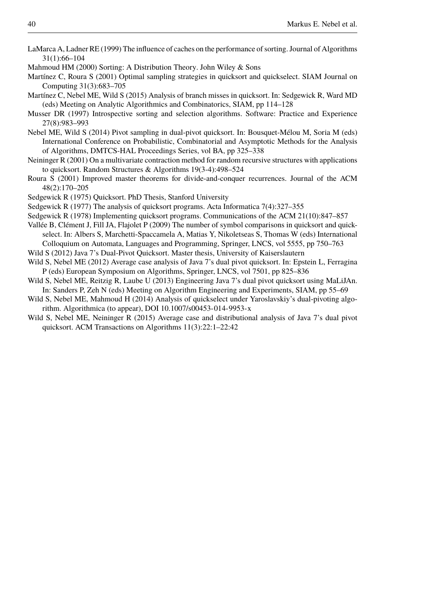- <span id="page-39-8"></span>LaMarca A, Ladner RE (1999) The influence of caches on the performance of sorting. Journal of Algorithms 31(1):66–104
- <span id="page-39-10"></span>Mahmoud HM (2000) Sorting: A Distribution Theory. John Wiley & Sons
- <span id="page-39-5"></span>Martínez C, Roura S (2001) Optimal sampling strategies in quicksort and quickselect. SIAM Journal on Computing 31(3):683–705
- <span id="page-39-9"></span>Martínez C, Nebel ME, Wild S (2015) Analysis of branch misses in quicksort. In: Sedgewick R, Ward MD (eds) Meeting on Analytic Algorithmics and Combinatorics, SIAM, pp 114–128
- <span id="page-39-1"></span>Musser DR (1997) Introspective sorting and selection algorithms. Software: Practice and Experience 27(8):983–993
- <span id="page-39-0"></span>Nebel ME, Wild S (2014) Pivot sampling in dual-pivot quicksort. In: Bousquet-Mélou M, Soria M (eds) International Conference on Probabilistic, Combinatorial and Asymptotic Methods for the Analysis of Algorithms, DMTCS-HAL Proceedings Series, vol BA, pp 325–338
- <span id="page-39-13"></span>Neininger R (2001) On a multivariate contraction method for random recursive structures with applications to quicksort. Random Structures & Algorithms 19(3-4):498–524
- <span id="page-39-14"></span>Roura S (2001) Improved master theorems for divide-and-conquer recurrences. Journal of the ACM 48(2):170–205
- <span id="page-39-2"></span>Sedgewick R (1975) Quicksort. PhD Thesis, Stanford University
- <span id="page-39-11"></span>Sedgewick R (1977) The analysis of quicksort programs. Acta Informatica 7(4):327–355
- <span id="page-39-12"></span>Sedgewick R (1978) Implementing quicksort programs. Communications of the ACM 21(10):847–857
- <span id="page-39-16"></span>Vallée B, Clément J, Fill JA, Flajolet P (2009) The number of symbol comparisons in quicksort and quickselect. In: Albers S, Marchetti-Spaccamela A, Matias Y, Nikoletseas S, Thomas W (eds) International Colloquium on Automata, Languages and Programming, Springer, LNCS, vol 5555, pp 750–763
- <span id="page-39-7"></span>Wild S (2012) Java 7's Dual-Pivot Quicksort. Master thesis, University of Kaiserslautern
- <span id="page-39-3"></span>Wild S, Nebel ME (2012) Average case analysis of Java 7's dual pivot quicksort. In: Epstein L, Ferragina P (eds) European Symposium on Algorithms, Springer, LNCS, vol 7501, pp 825–836
- <span id="page-39-6"></span>Wild S, Nebel ME, Reitzig R, Laube U (2013) Engineering Java 7's dual pivot quicksort using MaLiJAn. In: Sanders P, Zeh N (eds) Meeting on Algorithm Engineering and Experiments, SIAM, pp 55–69
- <span id="page-39-15"></span>Wild S, Nebel ME, Mahmoud H (2014) Analysis of quickselect under Yaroslavskiy's dual-pivoting algorithm. Algorithmica (to appear), DOI 10.1007/s00453-014-9953-x
- <span id="page-39-4"></span>Wild S, Nebel ME, Neininger R (2015) Average case and distributional analysis of Java 7's dual pivot quicksort. ACM Transactions on Algorithms 11(3):22:1–22:42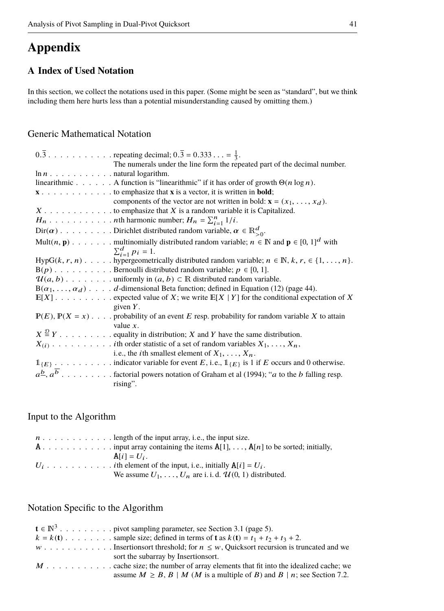# **Appendix**

# <span id="page-40-0"></span>**A Index of Used Notation**

In this section, we collect the notations used in this paper. (Some might be seen as "standard", but we think including them here hurts less than a potential misunderstanding caused by omitting them.)

# Generic Mathematical Notation

| The numerals under the line form the repeated part of the decimal number.                                                         |
|-----------------------------------------------------------------------------------------------------------------------------------|
| $\ln n$ natural logarithm.                                                                                                        |
| linearithmic A function is "linearithmic" if it has order of growth $\Theta(n \log n)$ .                                          |
| $x \cdot \ldots \cdot \ldots \cdot \ldots \cdot \ldots$ to emphasize that $x$ is a vector, it is written in <b>bold</b> ;         |
| components of the vector are not written in bold: $\mathbf{x} = (x_1, \dots, x_d)$ .                                              |
| $X \dots \dots \dots \dots$ to emphasize that X is a random variable it is Capitalized.                                           |
|                                                                                                                                   |
| $\text{Dir}(\alpha)$ Dirichlet distributed random variable, $\alpha \in \mathbb{R}^d_{\geq 0}$ .                                  |
| Mult $(n, p)$ multinomially distributed random variable; $n \in \mathbb{N}$ and $p \in [0, 1]^d$ with                             |
| $\sum_{i=1}^{d} p_i = 1.$                                                                                                         |
| HypG(k, r, n) hypergeometrically distributed random variable; $n \in \mathbb{N}$ , $k, r \in \{1, , n\}$ .                        |
|                                                                                                                                   |
|                                                                                                                                   |
| $B(\alpha_1, \ldots, \alpha_d)$ d-dimensional Beta function; defined in Equation (12) (page 44).                                  |
|                                                                                                                                   |
| given $Y$ .                                                                                                                       |
| $P(E), P(X = x)$ probability of an event E resp. probability for random variable X to attain                                      |
| value $x$ .                                                                                                                       |
| $X \stackrel{\mathcal{D}}{=} Y$ equality in distribution; X and Y have the same distribution.                                     |
|                                                                                                                                   |
| i.e., the <i>i</i> th smallest element of $X_1, \ldots, X_n$ .                                                                    |
|                                                                                                                                   |
| $a^b, a^b, \ldots, \ldots$ factorial powers notation of Graham et al (1994); " <i>a</i> to the <i>b</i> falling resp.<br>rising". |

# Input to the Algorithm

| $n \dots$ , $n \dots$ , $n \dots$ , length of the input array, i.e., the input size. |
|--------------------------------------------------------------------------------------|
|                                                                                      |
| $\mathbf{A}[i] = U_i$ .                                                              |
|                                                                                      |
| We assume $U_1, \ldots, U_n$ are i. i. d. $\mathcal{U}(0, 1)$ distributed.           |

# Notation Specific to the Algorithm

| $\mathbf{t} \in \mathbb{N}^3$ pivot sampling parameter, see Section 3.1 (page 5).                        |
|----------------------------------------------------------------------------------------------------------|
| $k = k(t)$ sample size; defined in terms of <b>t</b> as $k(t) = t_1 + t_2 + t_3 + 2$ .                   |
| $w \dots \dots \dots$ Insertions or threshold; for $n \leq w$ , Quicks ort recursion is truncated and we |
| sort the subarray by Insertions ort.                                                                     |
|                                                                                                          |
| assume $M \geq B$ , $B \mid M$ ( <i>M</i> is a multiple of <i>B</i> ) and $B \mid n$ ; see Section 7.2.  |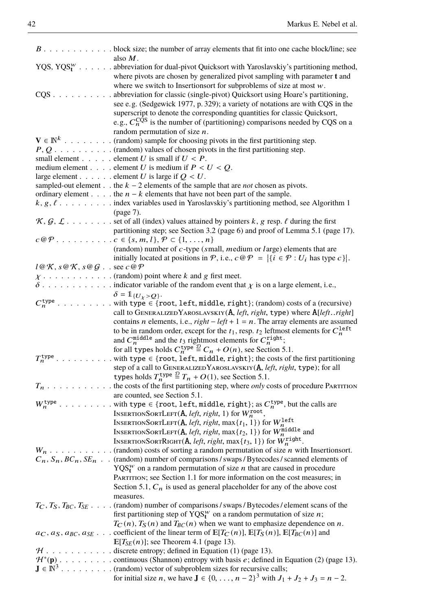|                                                                                                                             | $B \ldots \ldots \ldots \ldots$ block size; the number of array elements that fit into one cache block/line; see<br>also $M$ .                                                                                                                                                                                                                                                    |
|-----------------------------------------------------------------------------------------------------------------------------|-----------------------------------------------------------------------------------------------------------------------------------------------------------------------------------------------------------------------------------------------------------------------------------------------------------------------------------------------------------------------------------|
|                                                                                                                             | YQS, YQS $^W$ . abbreviation for dual-pivot Quicksort with Yaroslavskiy's partitioning method,<br>where pivots are chosen by generalized pivot sampling with parameter t and<br>where we switch to Insertions of solution of size at most $w$ .                                                                                                                                   |
|                                                                                                                             | CQS abbreviation for classic (single-pivot) Quicksort using Hoare's partitioning,<br>see e.g. (Sedgewick 1977, p. 329); a variety of notations are with CQS in the<br>superscript to denote the corresponding quantities for classic Quicksort,<br>e.g., $C_n^{\overline{CQ}}$ is the number of (partitioning) comparisons needed by CQS on a<br>random permutation of size $n$ . |
|                                                                                                                             | $\mathbf{V}\in\mathbb{N}^k$ (random) sample for choosing pivots in the first partitioning step.                                                                                                                                                                                                                                                                                   |
|                                                                                                                             | $P, Q, \ldots, \ldots,$ (random) values of chosen pivots in the first partitioning step.                                                                                                                                                                                                                                                                                          |
|                                                                                                                             | small element element U is small if $U < P$ .                                                                                                                                                                                                                                                                                                                                     |
|                                                                                                                             | medium element element U is medium if $P < U < Q$ .<br>large element element U is large if $Q < U$ .                                                                                                                                                                                                                                                                              |
|                                                                                                                             | sampled-out element the $k - 2$ elements of the sample that are <i>not</i> chosen as pivots.                                                                                                                                                                                                                                                                                      |
|                                                                                                                             | ordinary element the $n - k$ elements that have not been part of the sample.                                                                                                                                                                                                                                                                                                      |
|                                                                                                                             | $k, g, \ell, \ldots, \ldots$ index variables used in Yaroslavskiy's partitioning method, see Algorithm 1                                                                                                                                                                                                                                                                          |
|                                                                                                                             | (page 7).                                                                                                                                                                                                                                                                                                                                                                         |
|                                                                                                                             | $\mathcal{K}, \mathcal{G}, \mathcal{L}$ set of all (index) values attained by pointers k, g resp. $\ell$ during the first                                                                                                                                                                                                                                                         |
|                                                                                                                             | partitioning step; see Section 3.2 (page 6) and proof of Lemma 5.1 (page 17).                                                                                                                                                                                                                                                                                                     |
|                                                                                                                             | (random) number of $c$ -type (small, <i>medium</i> or <i>large</i> ) elements that are                                                                                                                                                                                                                                                                                            |
|                                                                                                                             | initially located at positions in $P$ , i.e., $c \circ P =  \{i \in P : U_i \text{ has type } c\} $ .                                                                                                                                                                                                                                                                             |
| $l \mathcal{Q} \mathcal{K}$ , $s \mathcal{Q} \mathcal{K}$ , $s \mathcal{Q} \mathcal{G}$ . . see $c \mathcal{Q} \mathcal{P}$ |                                                                                                                                                                                                                                                                                                                                                                                   |
|                                                                                                                             |                                                                                                                                                                                                                                                                                                                                                                                   |
|                                                                                                                             |                                                                                                                                                                                                                                                                                                                                                                                   |
|                                                                                                                             | $\delta = \mathbb{1}_{\{U_Y > Q\}}.$<br>$C_n^{\text{type}}$ with type $\in$ {root, left, middle, right}; (random) costs of a (recursive)                                                                                                                                                                                                                                          |
|                                                                                                                             | call to GENERALIZED YAROSLAVSKIY( $A$ , <i>left</i> , <i>right</i> , type) where $A[left.:right]$                                                                                                                                                                                                                                                                                 |
|                                                                                                                             | contains <i>n</i> elements, i.e., <i>right</i> – <i>left</i> + 1 = <i>n</i> . The array elements are assumed                                                                                                                                                                                                                                                                      |
|                                                                                                                             | to be in random order, except for the $t_1$ , resp. $t_2$ leftmost elements for $C_n^{\text{left}}$<br>and $C_n^{\text{middle}}$ and the $t_3$ rightmost elements for $C_n^{\text{right}}$ ;<br>for all types holds $C_n^{\text{type}} \stackrel{\text{g}}{=} C_n + O(n)$ , see Section 5.1.                                                                                      |
|                                                                                                                             |                                                                                                                                                                                                                                                                                                                                                                                   |
| $T_n^{\text{type}}$                                                                                                         | with type $\in$ {root, left, middle, right}; the costs of the first partitioning                                                                                                                                                                                                                                                                                                  |
|                                                                                                                             | step of a call to GENERALIZED YAROSLAVSKIY(A, left, right, type); for all<br>types holds $T_n^{\text{type}} \stackrel{\mathcal{D}}{=} T_n + O(1)$ , see Section 5.1.                                                                                                                                                                                                              |
|                                                                                                                             | $T_n$ the costs of the first partitioning step, where <i>only</i> costs of procedure PARTITION<br>are counted, see Section 5.1.                                                                                                                                                                                                                                                   |
| $W_n^{\text{type}}$<br>$\ddot{\phantom{a}}$                                                                                 | with type $\in$ {root, left, middle, right}; as $C_n^{\text{type}}$ , but the calls are                                                                                                                                                                                                                                                                                           |
|                                                                                                                             | INSERTIONSORTLEFT(A, left, right, 1) for $W_n^{\text{root}}$ ,                                                                                                                                                                                                                                                                                                                    |
|                                                                                                                             | $\label{eq:thm:Ker} \begin{array}{ll} \mbox{InsertionSortLET}(\mathbf{A}, \mathit{left}, \mathit{right}, \max\{t_1, 1\}) \mbox{ for } W^{\text{left}}_n \\ \mbox{InsertionsSortLET}(\mathbf{A}, \mathit{left}, \mathit{right}, \max\{t_2, 1\}) \mbox{ for } W^{\text{middle}}_n \mbox{ and } \\ \end{array}$                                                                      |
|                                                                                                                             | INSERTIONSORTRIGHT(A, <i>left</i> , <i>right</i> , max $\{t_2, 1\}$ ) for $W_n^n$<br>INSERTIONSORTRIGHT(A, <i>left</i> , <i>right</i> , max $\{t_3, 1\}$ ) for $W_n^{\text{right}}$ .                                                                                                                                                                                             |
|                                                                                                                             |                                                                                                                                                                                                                                                                                                                                                                                   |
|                                                                                                                             | $C_n$ , $S_n$ , $BC_n$ , $SE_n$ . (random) number of comparisons/swaps/Bytecodes/scanned elements of                                                                                                                                                                                                                                                                              |
|                                                                                                                             | $YQS_t^w$ on a random permutation of size <i>n</i> that are caused in procedure                                                                                                                                                                                                                                                                                                   |
|                                                                                                                             | PARTITION; see Section 1.1 for more information on the cost measures; in<br>Section 5.1, $C_n$ is used as general placeholder for any of the above cost                                                                                                                                                                                                                           |
|                                                                                                                             | measures.                                                                                                                                                                                                                                                                                                                                                                         |
|                                                                                                                             | $T_C$ , $T_S$ , $T_{BC}$ , $T_{SE}$ (random) number of comparisons/swaps/Bytecodes/element scans of the                                                                                                                                                                                                                                                                           |
|                                                                                                                             | first partitioning step of YQS <sup><i>w</i></sup> on a random permutation of size <i>n</i> ;                                                                                                                                                                                                                                                                                     |
|                                                                                                                             | $T_C(n)$ , $T_S(n)$ and $T_{BC}(n)$ when we want to emphasize dependence on n.                                                                                                                                                                                                                                                                                                    |
|                                                                                                                             | $a_C, a_S, a_{BC}, a_{SE}$ coefficient of the linear term of $\mathbb{E}[T_C(n)]$ , $\mathbb{E}[T_S(n)]$ , $\mathbb{E}[T_{BC}(n)]$ and                                                                                                                                                                                                                                            |
|                                                                                                                             | $\mathbb{E}[T_{SE}(n)]$ ; see Theorem 4.1 (page 13).<br>$H \dots \dots \dots$ discrete entropy; defined in Equation (1) (page 13).                                                                                                                                                                                                                                                |
|                                                                                                                             | $\mathcal{H}^*(\mathbf{p})$ . continuous (Shannon) entropy with basis e; defined in Equation (2) (page 13).                                                                                                                                                                                                                                                                       |
|                                                                                                                             | $\mathbf{J} \in \mathbb{N}^3$ (random) vector of subproblem sizes for recursive calls;                                                                                                                                                                                                                                                                                            |
|                                                                                                                             | for initial size <i>n</i> , we have $J \in \{0, , n-2\}^3$ with $J_1 + J_2 + J_3 = n - 2$ .                                                                                                                                                                                                                                                                                       |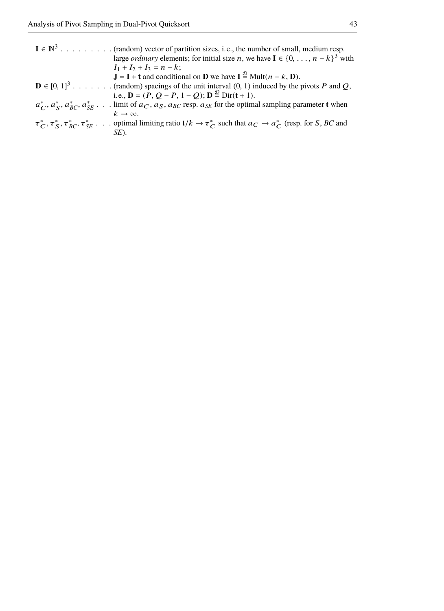| $I \in \mathbb{N}^3$ (random) vector of partition sizes, i.e., the number of small, medium resp.                                                  |
|---------------------------------------------------------------------------------------------------------------------------------------------------|
| large <i>ordinary</i> elements; for initial size <i>n</i> , we have $I \in \{0, , n-k\}^3$ with                                                   |
| $I_1 + I_2 + I_3 = n - k$ ;                                                                                                                       |
| $\mathbf{J} = \mathbf{I} + \mathbf{t}$ and conditional on <b>D</b> we have $\mathbf{I} \stackrel{\mathcal{D}}{=} \text{Mult}(n - k, \mathbf{D}).$ |
| $\mathbf{D} \in [0, 1]^3$ (random) spacings of the unit interval $(0, 1)$ induced by the pivots P and Q,                                          |
| i.e., $\mathbf{D} = (P, Q - P, 1 - Q); \mathbf{D} \stackrel{\mathcal{D}}{=} \text{Dir}(\mathbf{t} + 1).$                                          |
| $a_C^*, a_S^*, a_{BC}^*, a_{SE}^*$ limit of $a_C, a_S, a_{BC}$ resp. $a_{SE}$ for the optimal sampling parameter t when                           |
| $k \rightarrow \infty$                                                                                                                            |
| $\tau_{C}^*, \tau_{SC}^*, \tau_{BC}^*, \tau_{SE}^*$ optimal limiting ratio $t/k \to \tau_{C}^*$ such that $a_C \to a_C^*$ (resp. for S, BC and    |
| SE).                                                                                                                                              |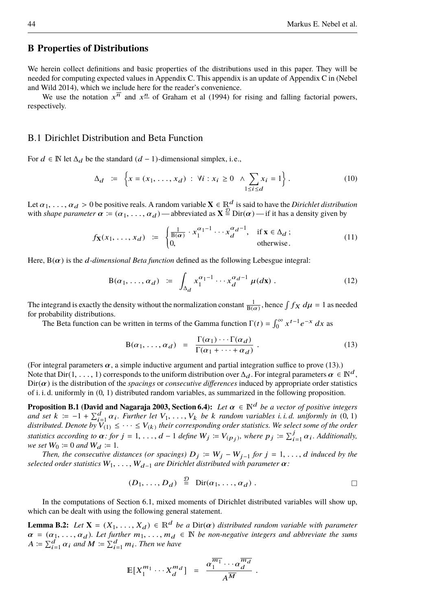#### **B Properties of Distributions**

We herein collect definitions and basic properties of the distributions used in this paper. They will be needed for computing expected values in [Appendix C.](#page-45-0) This appendix is an update of Appendix C in [\(Nebel](#page-39-0) [and Wild 2014\)](#page-39-0), which we include here for the reader's convenience.

We use the notation  $x^{\overline{n}}$  and  $x^{\underline{n}}$  of [Graham et al](#page-38-14) [\(1994\)](#page-38-14) for rising and falling factorial powers, respectively.

#### B.1 Dirichlet Distribution and Beta Function

For  $d \text{ ∈ } \mathbb{N}$  let  $\Delta_d$  be the standard  $(d - 1)$ -dimensional simplex, i.e.,

$$
\Delta_d := \left\{ x = (x_1, ..., x_d) : \forall i : x_i \ge 0 \land \sum_{1 \le i \le d} x_i = 1 \right\}.
$$
 (10)

Let  $\alpha_1, \ldots, \alpha_d > 0$  be positive reals. A random variable  $X \in \mathbb{R}^d$  is said to have the *Dirichlet distribution* with *shape parameter*  $\alpha := (\alpha_1, \dots, \alpha_d)$  — abbreviated as  $X \stackrel{\mathcal{D}}{=} \text{Dir}(\alpha)$  — if it has a density given by

$$
f_{\mathbf{X}}(x_1, \dots, x_d) := \begin{cases} \frac{1}{B(\alpha)} \cdot x_1^{\alpha_1 - 1} \cdots x_d^{\alpha_d - 1}, & \text{if } \mathbf{x} \in \Delta_d ; \\ 0, & \text{otherwise.} \end{cases}
$$
(11)

Here,  $B(\alpha)$  is the *d-dimensional Beta function* defined as the following Lebesgue integral:

$$
\mathcal{B}(\alpha_1,\ldots,\alpha_d) \; \coloneqq \; \int_{\Delta_d} x_1^{\alpha_1-1} \cdots x_d^{\alpha_d-1} \, \mu(d\mathbf{x}) \; . \tag{12}
$$

The integrand is exactly the density without the normalization constant  $\frac{1}{B(\alpha)}$ , hence  $\int f_X d\mu = 1$  as needed for probability distributions for probability distributions.

The Beta function can be written in terms of the Gamma function  $\Gamma(t) = \int_0^\infty x^{t-1} e^{-x} dx$  as

<span id="page-43-2"></span><span id="page-43-1"></span><span id="page-43-0"></span>
$$
B(\alpha_1, ..., \alpha_d) = \frac{\Gamma(\alpha_1) \cdots \Gamma(\alpha_d)}{\Gamma(\alpha_1 + \cdots + \alpha_d)}.
$$
 (13)

(For integral parameters  $\alpha$ , a simple inductive argument and partial integration suffice to prove [\(13\)](#page-43-2).) Note that Dir(1, ..., 1) corresponds to the uniform distribution over  $\Delta_d$ . For integral parameters  $\alpha \in \mathbb{N}^d$ ,  $Dir(\alpha)$  is the distribution of the *spacings* or *consecutive differences* induced by appropriate order statistics of i. i. d. uniformly in (0, 1) distributed random variables, as summarized in the following proposition.

**Proposition B.1 [\(David and Nagaraja 2003,](#page-38-15) Section 6.4):** *Let*  $\alpha \in \mathbb{N}^d$  *be a vector of positive integers and set*  $k := -1 + \sum_{i=1}^{d} \alpha_i$ . *Further let*  $V_1, \ldots, V_k$  *be* k *random variables i. i. d. uniformly in* (0, 1) distributed. Denote by  $V_{(1)} \leq \cdots \leq V_{(k)}$  their corresponding order statistics. We select some of the order *statistics according to*  $\alpha$ *: for*  $j = 1, ..., d - 1$  *define*  $W_j := V_{(p_j)}$ *, where*  $p_j := \sum_{i=1}^j \alpha_i$ *. Additionally, we set*  $W_0 := 0$  *and*  $W_d := 1$ .

*Then, the consecutive distances (or spacings)*  $D_j := W_j - W_{j-1}$  *for*  $j = 1, \ldots, d$  *induced by the selected order statistics*  $W_1, \ldots, W_{d-1}$  *are Dirichlet distributed with parameter*  $\alpha$ *:* 

<span id="page-43-3"></span>
$$
(D_1, \ldots, D_d) \stackrel{\mathcal{D}}{=} \text{Dir}(\alpha_1, \ldots, \alpha_d) . \square
$$

In the computations of [Section 6.1,](#page-19-1) mixed moments of Dirichlet distributed variables will show up, which can be dealt with using the following general statement.

**Lemma B.2:** *Let*  $X = (X_1, \ldots, X_d) \in \mathbb{R}^d$  *be a* Dir( $\alpha$ ) *distributed random variable with parameter*  $\alpha = (\alpha_1, \ldots, \alpha_d)$ *. Let further*  $m_1, \ldots, m_d \in \mathbb{N}$  *be non-negative integers and abbreviate the sums*  $A \coloneqq \sum_{i=1}^d \alpha_i$  and  $M \coloneqq \sum_{i=1}^d m_i$ . Then we have

$$
\mathbb{E}[X_1^{m_1} \cdots X_d^{m_d}] = \frac{\alpha_1^{\overline{m_1}} \cdots \alpha_d^{\overline{m_d}}}{A^{\overline{M}}}.
$$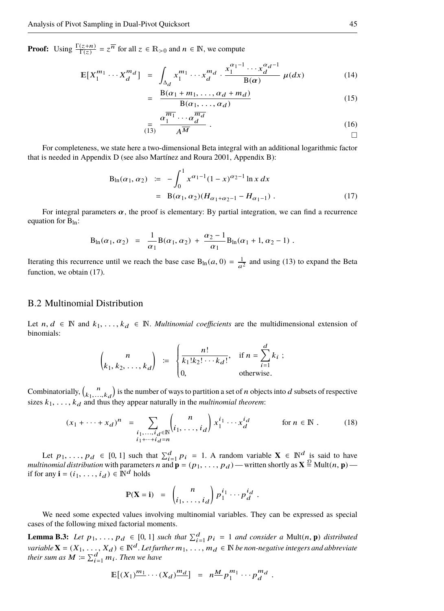**Proof:** Using  $\frac{\Gamma(z+n)}{\Gamma(z)} = z^{\overline{n}}$  for all  $z \in \mathbb{R}_{>0}$  and  $n \in \mathbb{N}$ , we compute

$$
\mathbb{E}[X_1^{m_1} \cdots X_d^{m_d}] = \int_{\Delta_d} x_1^{m_1} \cdots x_d^{m_d} \cdot \frac{x_1^{\alpha_1 - 1} \cdots x_d^{\alpha_d - 1}}{B(\alpha)} \mu(dx) \tag{14}
$$

$$
= \frac{B(\alpha_1 + m_1, \dots, \alpha_d + m_d)}{B(\alpha_1, \dots, \alpha_d)} \tag{15}
$$

<span id="page-44-0"></span>
$$
\lim_{(13)} \frac{\alpha_1^{\overline{m_1}} \cdots \alpha_d^{\overline{m_d}}}{A^{\overline{M}}} \tag{16}
$$

For completeness, we state here a two-dimensional Beta integral with an additional logarithmic factor that is needed in [Appendix D](#page-46-0) (see also [Martínez and Roura 2001,](#page-39-5) Appendix B):

$$
B_{\ln}(\alpha_1, \alpha_2) \quad := \quad -\int_0^1 x^{\alpha_1 - 1} (1 - x)^{\alpha_2 - 1} \ln x \, dx
$$
\n
$$
= \quad B(\alpha_1, \alpha_2) (H_{\alpha_1 + \alpha_2 - 1} - H_{\alpha_1 - 1}) \ . \tag{17}
$$

For integral parameters  $\alpha$ , the proof is elementary: By partial integration, we can find a recurrence equation for  $B_{ln}$ :

$$
B_{\ln}(\alpha_1, \alpha_2) = \frac{1}{\alpha_1} B(\alpha_1, \alpha_2) + \frac{\alpha_2 - 1}{\alpha_1} B_{\ln}(\alpha_1 + 1, \alpha_2 - 1) .
$$

Iterating this recurrence until we reach the base case  $B_{\text{ln}}(a, 0) = \frac{1}{a^2}$  and using [\(13\)](#page-43-2) to expand the Beta function, we obtain [\(17\)](#page-44-0).

#### B.2 Multinomial Distribution

Let  $n, d \in \mathbb{N}$  and  $k_1, \ldots, k_d \in \mathbb{N}$ . *Multinomial coefficients* are the multidimensional extension of binomials:

$$
\binom{n}{k_1, k_2, \dots, k_d} \coloneqq \begin{cases} \frac{n!}{k_1! k_2! \cdots k_d!}, & \text{if } n = \sum_{i=1}^d k_i ; \\ 0, & \text{otherwise.} \end{cases}
$$

Combinatorially,  ${n \choose k_1,...,k_d}$  is the number of ways to partition a set of n objects into d subsets of respective  $\sum_{k=1}^{\infty}$ ,  $\sum_{k=1}^{\infty}$ ,  $\sum_{k=1}^{\infty}$ ,  $\sum_{k=1}^{\infty}$  is the number of ways to partition a set of *n* objecture.

$$
(x_1 + \dots + x_d)^n = \sum_{\substack{i_1, \dots, i_d \in \mathbb{N} \\ i_1 + \dots + i_d = n}} \binom{n}{i_1, \dots, i_d} x_1^{i_1} \cdots x_d^{i_d} \qquad \text{for } n \in \mathbb{N}. \tag{18}
$$

Let  $p_1, \ldots, p_d \in [0, 1]$  such that  $\sum_{i=1}^d p_i = 1$ . A random variable  $X \in \mathbb{N}^d$  is said to have *multinomial distribution* with parameters *n* and  $\mathbf{p} = (p_1, \ldots, p_d)$  — written shortly as  $\mathbf{X} \stackrel{\mathcal{D}}{=} \text{Mult}(n, \mathbf{p})$  if for any  $\mathbf{i} = (i_1, \ldots, i_d) \in \mathbb{N}^d$  holds

<span id="page-44-1"></span>
$$
\mathbb{P}(\mathbf{X} = \mathbf{i}) = \begin{pmatrix} n \\ i_1, \dots, i_d \end{pmatrix} p_1^{i_1} \cdots p_d^{i_d}.
$$

We need some expected values involving multinomial variables. They can be expressed as special cases of the following mixed factorial moments.

<span id="page-44-2"></span>**Lemma B.3:** Let  $p_1, \ldots, p_d \in [0, 1]$  such that  $\sum_{i=1}^d p_i = 1$  and consider a Mult $(n, \mathbf{p})$  distributed *variable* **X** = ( $X_1$ , ...,  $V_d$  ∈ [0, 1] such that  $\Delta_{i=1} P_i$  = 1 and consider a wanter, **p**) assimilated variable **X** = ( $X_1$ , ...,  $X_d$ ) ∈  $\mathbb{N}^d$ . Let further  $m_1$ , ...,  $m_d$  ∈  $\mathbb{N}$  be non-negative inte their sum as  $M \coloneqq \sum_{i=1}^d m_i$ . Then we have

$$
\mathbb{E}[(X_1)^{\frac{m_1}{\cdots}}\cdots(X_d)^{\frac{m_d}{\cdots}}] = n^{\frac{M}{2}}p_1^{m_1}\cdots p_d^{m_d}.
$$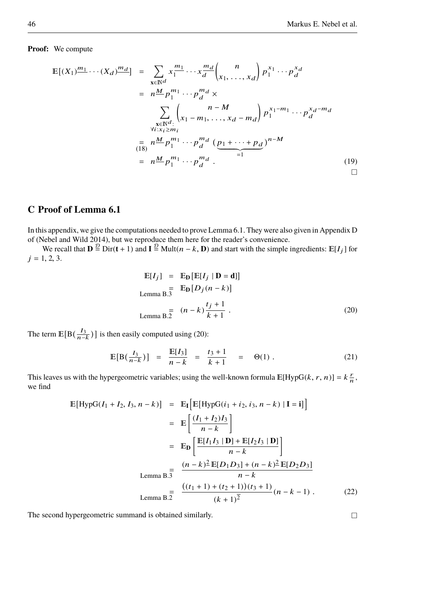**Proof:** We compute

$$
\mathbb{E}[(X_1)^{\underline{m_1}} \cdots (X_d)^{\underline{m_d}}] = \sum_{\mathbf{x} \in \mathbb{N}^d} x_1^{\underline{m_1}} \cdots x_d^{\underline{m_d}} {n \choose x_1, \dots, x_d} p_1^{x_1} \cdots p_d^{x_d}
$$
  
\n
$$
= n^{\underline{M}} p_1^{m_1} \cdots p_d^{m_d} \times \sum_{\substack{\mathbf{x} \in \mathbb{N}^d: \\ \forall i: x_i \ge m_i}} {n - M \choose x_1 - m_1, \dots, x_d - m_d} p_1^{x_1 - m_1} \cdots p_d^{x_d - m_d}
$$
  
\n
$$
= n^{\underline{M}} p_1^{m_1} \cdots p_d^{m_d} \left( \underbrace{p_1 + \cdots + p_d}_{=1} \right)^{n - M}
$$
  
\n
$$
= n^{\underline{M}} p_1^{m_1} \cdots p_d^{m_d} .
$$
 (19)

# <span id="page-45-0"></span>**C Proof of [Lemma 6.1](#page-19-3)**

In this appendix, we give the computations needed to prove [Lemma 6.1.](#page-19-3) They were also given in Appendix D of [\(Nebel and Wild 2014\)](#page-39-0), but we reproduce them here for the reader's convenience.

We recall that  $\mathbf{D} \stackrel{\mathcal{D}}{=} \text{Dir}(\mathbf{t} + 1)$  and  $\mathbf{I} \stackrel{\mathcal{D}}{=} \text{Mult}(n - k, \mathbf{D})$  and start with the simple ingredients:  $\mathbb{E}[I_j]$  for  $j = 1, 2, 3.$ 

$$
\mathbb{E}[I_j] = \mathbb{E}_{\mathbf{D}}[\mathbb{E}[I_j | \mathbf{D} = \mathbf{d}]]
$$
  
\nLemma B.3  
\n
$$
\mathbb{E}_{\mathbf{D}}[D_j(n-k)]
$$
  
\nLemma B.2  
\n
$$
(n-k)\frac{t_j+1}{k+1}.
$$
\n(20)

The term  $\mathbb{E}[B(\frac{I_3}{n-k})]$  is then easily computed using [\(20\)](#page-45-1):

$$
\mathbb{E}[B(\frac{I_3}{n-k})] = \frac{\mathbb{E}[I_3]}{n-k} = \frac{t_3+1}{k+1} = \Theta(1).
$$
 (21)

This leaves us with the hypergeometric variables; using the well-known formula  $E[HypG(k, r, n)] = k\frac{r}{n}$ , we find f

$$
\mathbb{E}[\text{HypG}(I_1 + I_2, I_3, n - k)] = \mathbb{E}_{\mathbf{I}} \Big[ \mathbb{E}[\text{HypG}(i_1 + i_2, i_3, n - k) | \mathbf{I} = \mathbf{i}] \Big]
$$
  
\n
$$
= \mathbb{E} \Big[ \frac{(I_1 + I_2)I_3}{n - k} \Big]
$$
  
\n
$$
= \mathbb{E}_{\mathbf{D}} \Big[ \frac{\mathbb{E}[I_1 I_3 | \mathbf{D}] + \mathbb{E}[I_2 I_3 | \mathbf{D}]}{n - k} \Big]
$$
  
\nLemma B. $\frac{1}{3}$   
\n
$$
\frac{(n - k)^2 \mathbb{E}[D_1 D_3] + (n - k)^2 \mathbb{E}[D_2 D_3]}{n - k}
$$
  
\nLemma B. $\frac{1}{2}$   
\n
$$
\frac{((t_1 + 1) + (t_2 + 1))(t_3 + 1)}{(k + 1)^2} (n - k - 1) . \tag{22}
$$

The second hypergeometric summand is obtained similarly.

<span id="page-45-1"></span>g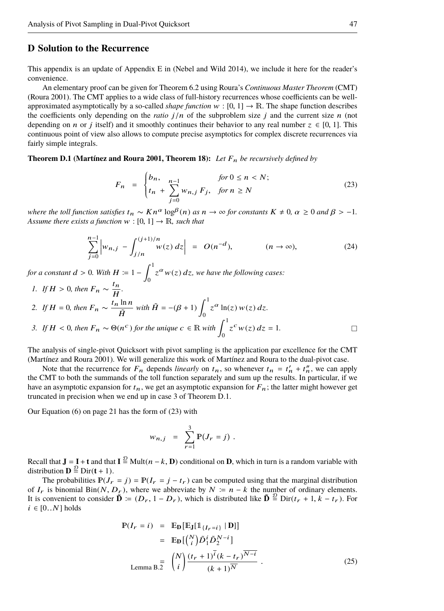#### <span id="page-46-0"></span>**D Solution to the Recurrence**

This appendix is an update of Appendix E in [\(Nebel and Wild 2014\)](#page-39-0), we include it here for the reader's convenience.

An elementary proof can be given for [Theorem 6.2](#page-22-1) using [Roura'](#page-39-14)s *Continuous Master Theorem* (CMT) [\(Roura 2001\)](#page-39-14). The CMT applies to a wide class of full-history recurrences whose coefficients can be wellapproximated asymptotically by a so-called *shape function*  $w : [0, 1] \rightarrow \mathbb{R}$ . The shape function describes the coefficients only depending on the *ratio*  $j/n$  of the subproblem size j and the current size n (not depending on *n* or *j* itself) and it smoothly continues their behavior to any real number  $z \in [0, 1]$ . This continuous point of view also allows to compute precise asymptotics for complex discrete recurrences via fairly simple integrals.

#### <span id="page-46-2"></span>**Theorem D.1 (Martinez and Roura 2001, Theorem 18):** Let  $F_n$  be recursively defined by

<span id="page-46-4"></span><span id="page-46-3"></span>
$$
F_n = \begin{cases} b_n, & \text{for } 0 \le n < N; \\ t_n + \sum_{j=0}^{n-1} w_{n,j} \, F_j, & \text{for } n \ge N \end{cases} \tag{23}
$$

*where the toll function satisfies*  $t_n \sim Kn^{\alpha} \log^{\beta}(n)$  *as*  $n \to \infty$  *for constants*  $K \neq 0$ ,  $\alpha \geq 0$  *and*  $\beta > -1$ *. Assume there exists a function*  $w : [0, 1] \rightarrow \mathbb{R}$ *, such that* 

$$
\sum_{j=0}^{n-1} \left| w_{n,j} - \int_{j/n}^{(j+1)/n} w(z) \, dz \right| \ = \ O(n^{-d}), \qquad (n \to \infty), \tag{24}
$$

*for a constant d* > 0. With  $H \coloneqq 1 - \int_0^1$  $\int_{0}^{a} z^{\alpha} w(z) dz$ , we have the following cases:

<span id="page-46-5"></span>*1. If*  $H > 0$ , then  $F_n \sim \frac{t_n}{H}$  $\frac{m}{H}$ . *2. If*  $H = 0$ *, then*  $F_n \sim \frac{t_n \ln n}{\tilde{H}}$  $\frac{\ln n}{\tilde{H}}$  with  $\tilde{H} = -(\beta + 1) \int_0^1$  $\int_0^{\infty} z^{\alpha} \ln(z) w(z) dz.$ *3. If*  $H < 0$ *, then*  $F_n \sim \Theta(n^c)$  *for the unique*  $c \in \mathbb{R}$  *with*  $\int_0^1 z^c w(z) dz = 1$ .

<span id="page-46-1"></span>The analysis of single-pivot Quicksort with pivot sampling is the application par excellence for the CMT [\(Martínez and Roura 2001\)](#page-39-5). We will generalize this work of [Martínez and Roura](#page-39-5) to the dual-pivot case.

Note that the recurrence for  $F_n$  depends *linearly* on  $t_n$ , so whenever  $t_n = t'_n + t''_n$ , we can apply the CMT to both the summands of the toll function separately and sum up the results. In particular, if we have an asymptotic expansion for  $t_n$ , we get an asymptotic expansion for  $F_n$ ; the latter might however get truncated in precision when we end up in [case 3](#page-46-1) of [Theorem D.1.](#page-46-2)

Our [Equation \(6\) on page 21](#page-20-0) has the form of [\(23\)](#page-46-3) with

$$
w_{n,j} = \sum_{r=1}^{3} \mathbb{P}(J_r = j) .
$$

Recall that  $J = I + t$  and that  $I \stackrel{\mathcal{D}}{=}$  Mult $(n - k, D)$  conditional on **D**, which in turn is a random variable with distribution  $\mathbf{D} \stackrel{\mathcal{D}}{=} \text{Dir}(\mathbf{t} + 1)$ .

The probabilities  $\mathbb{P}(J_r = j) = \mathbb{P}(I_r = j - t_r)$  can be computed using that the marginal distribution of  $I_r$  is binomial Bin(N,  $D_r$ ), where we abbreviate by  $N = n - k$  the number of ordinary elements. It is convenient to consider  $\mathbf{\tilde{D}} = (D_r, 1 - D_r)$ , which is distributed like  $\mathbf{\tilde{D}} \stackrel{\text{d}}{=} \text{Dir}(t_r + 1, k - t_r)$ . For  $i \in [0..N]$  holds

$$
\mathbb{P}(I_r = i) = \mathbb{E}_{\mathbf{D}}[\mathbb{E}_{\mathbf{J}}[\mathbf{1}_{\{I_r=i\}} | \mathbf{D}]]
$$
  
\n
$$
= \mathbb{E}_{\mathbf{D}}[(\begin{array}{c} N \\ i \end{array}) \tilde{D}_1^i \tilde{D}_2^{N-i}]
$$
  
\n
$$
= \begin{pmatrix} N \\ i \end{pmatrix} \frac{(t_r + 1)^{\overline{i}}(k - t_r)^{\overline{N-i}}}{(k + 1)^{\overline{N}}}.
$$
 (25)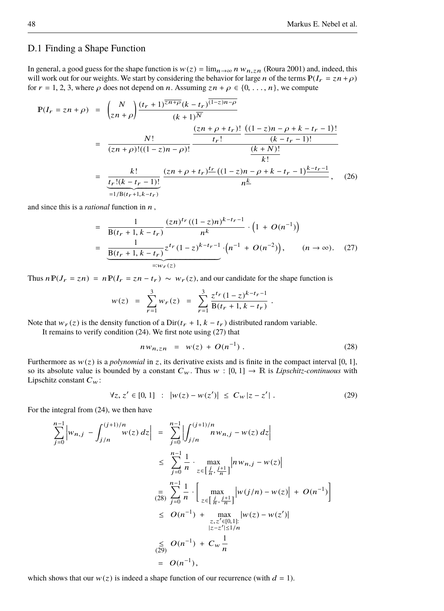#### D.1 Finding a Shape Function

In general, a good guess for the shape function is  $w(z) = \lim_{n \to \infty} n w_{n, z}$  [\(Roura 2001\)](#page-39-14) and, indeed, this will work out for our weights. We start by considering the behavior for large n of the terms  $P(I_r = zn + \rho)$ for  $r = 1, 2, 3$ , where  $\rho$  does not depend on *n*. Assuming  $zn + \rho \in \{0, \ldots, n\}$ , we compute

$$
\mathbb{P}(I_r = zn + \rho) = \binom{N}{zn + \rho} \frac{(t_r + 1)^{\overline{zn + \rho}}(k - t_r)^{(1 - z)n - \rho}}{(k + 1)^{\overline{N}}}
$$
\n
$$
= \frac{N!}{(zn + \rho)!((1 - z)n - \rho)!} \frac{\frac{(zn + \rho + t_r)!}{(k - t_r - 1)!} \frac{((1 - z)n - \rho + k - t_r - 1)!}{(k - t_r - 1)!}}{\frac{(k + N)!}{k!}}
$$
\n
$$
= \frac{k!}{\frac{tr!}{(kr!(k - t_r - 1)!}} \frac{(zn + \rho + t_r)\frac{tr}{(1 - z)n - \rho + k - t_r - 1)\frac{k - tr - 1}{k}}{n^{\underline{k}}}, \quad (26)
$$

and since this is a *rational* function in n ,

$$
= \frac{1}{B(t_r+1, k-t_r)} \frac{(zn)^{tr}((1-z)n)^{k-t_r-1}}{n^k} \cdot (1+O(n^{-1}))
$$
  

$$
= \frac{1}{\frac{B(t_r+1, k-t_r)}{z^{tr}(1-z)^{k-t_r-1}} \cdot (n^{-1}+O(n^{-2}))}, \qquad (n \to \infty). \quad (27)
$$

Thus  $nP(J_r = zn) = nP(I_r = zn - t_r) \sim w_r(z)$ , and our candidate for the shape function is

$$
w(z) = \sum_{r=1}^{3} w_r(z) = \sum_{r=1}^{3} \frac{z^{tr} (1-z)^{k-t_r-1}}{B(t_r+1, k-t_r)}.
$$

Note that  $w_r(z)$  is the density function of a Dir( $t_r + 1$ ,  $k - t_r$ ) distributed random variable.

It remains to verify condition [\(24\)](#page-46-4). We first note using [\(27\)](#page-47-0) that

<span id="page-47-2"></span><span id="page-47-1"></span><span id="page-47-0"></span>
$$
n w_{n,zn} = w(z) + O(n^{-1}). \tag{28}
$$

Furthermore as  $w(z)$  is a *polynomial* in z, its derivative exists and is finite in the compact interval [0, 1], so its absolute value is bounded by a constant  $C_w$ . Thus  $w : [0, 1] \rightarrow \mathbb{R}$  is *Lipschitz-continuous* with Lipschitz constant  $C_w$ :

$$
\forall z, z' \in [0, 1] : |w(z) - w(z')| \le C_w |z - z'|.
$$
 (29)

For the integral from [\(24\)](#page-46-4), we then have

$$
\sum_{j=0}^{n-1} \left| w_{n,j} - \int_{j/n}^{(j+1)/n} w(z) \, dz \right| \ = \ \sum_{j=0}^{n-1} \left| \int_{j/n}^{(j+1)/n} n w_{n,j} - w(z) \, dz \right|
$$
\n
$$
\leq \ \sum_{j=0}^{n-1} \frac{1}{n} \cdot \max_{z \in \left[ \frac{j}{n}, \frac{j+1}{n} \right]} \left| n w_{n,j} - w(z) \right|
$$
\n
$$
\frac{1}{(28)} \sum_{j=0}^{n-1} \frac{1}{n} \cdot \left[ \max_{z \in \left[ \frac{j}{n}, \frac{j+1}{n} \right]} \left| w(j/n) - w(z) \right| + O(n^{-1}) \right]
$$
\n
$$
\leq O(n^{-1}) + \max_{z, z' \in [0, 1]:} \left| w(z) - w(z') \right|
$$
\n
$$
\leq O(n^{-1}) + C_w \frac{1}{n}
$$
\n
$$
\leq O(n^{-1}),
$$

which shows that our  $w(z)$  is indeed a shape function of our recurrence (with  $d = 1$ ).